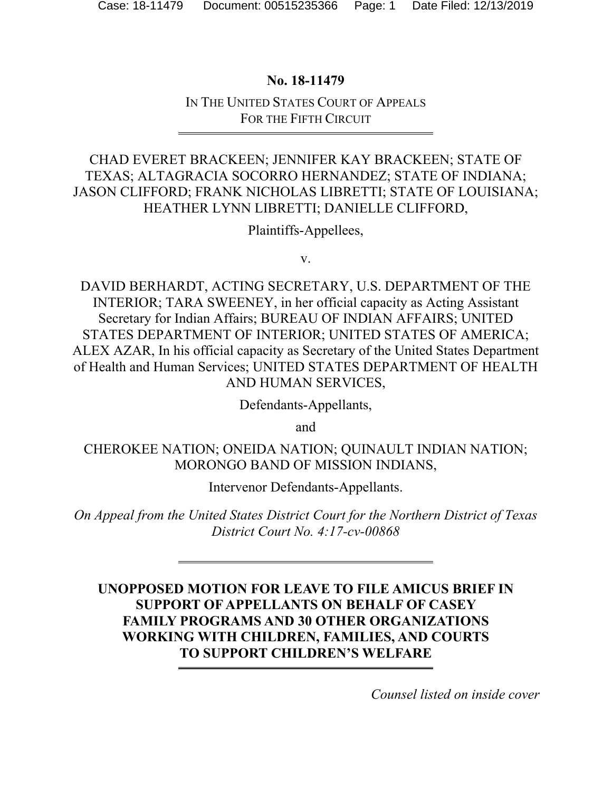### **No. 18-11479**

### IN THE UNITED STATES COURT OF APPEALS FOR THE FIFTH CIRCUIT

# CHAD EVERET BRACKEEN; JENNIFER KAY BRACKEEN; STATE OF TEXAS; ALTAGRACIA SOCORRO HERNANDEZ; STATE OF INDIANA; JASON CLIFFORD; FRANK NICHOLAS LIBRETTI; STATE OF LOUISIANA; HEATHER LYNN LIBRETTI; DANIELLE CLIFFORD,

Plaintiffs-Appellees,

v.

DAVID BERHARDT, ACTING SECRETARY, U.S. DEPARTMENT OF THE INTERIOR; TARA SWEENEY, in her official capacity as Acting Assistant Secretary for Indian Affairs; BUREAU OF INDIAN AFFAIRS; UNITED STATES DEPARTMENT OF INTERIOR; UNITED STATES OF AMERICA; ALEX AZAR, In his official capacity as Secretary of the United States Department of Health and Human Services; UNITED STATES DEPARTMENT OF HEALTH AND HUMAN SERVICES,

Defendants-Appellants,

and

CHEROKEE NATION; ONEIDA NATION; QUINAULT INDIAN NATION; MORONGO BAND OF MISSION INDIANS,

Intervenor Defendants-Appellants.

*On Appeal from the United States District Court for the Northern District of Texas District Court No. 4:17-cv-00868* 

# **UNOPPOSED MOTION FOR LEAVE TO FILE AMICUS BRIEF IN SUPPORT OF APPELLANTS ON BEHALF OF CASEY FAMILY PROGRAMS AND 30 OTHER ORGANIZATIONS WORKING WITH CHILDREN, FAMILIES, AND COURTS TO SUPPORT CHILDREN'S WELFARE**

*Counsel listed on inside cover*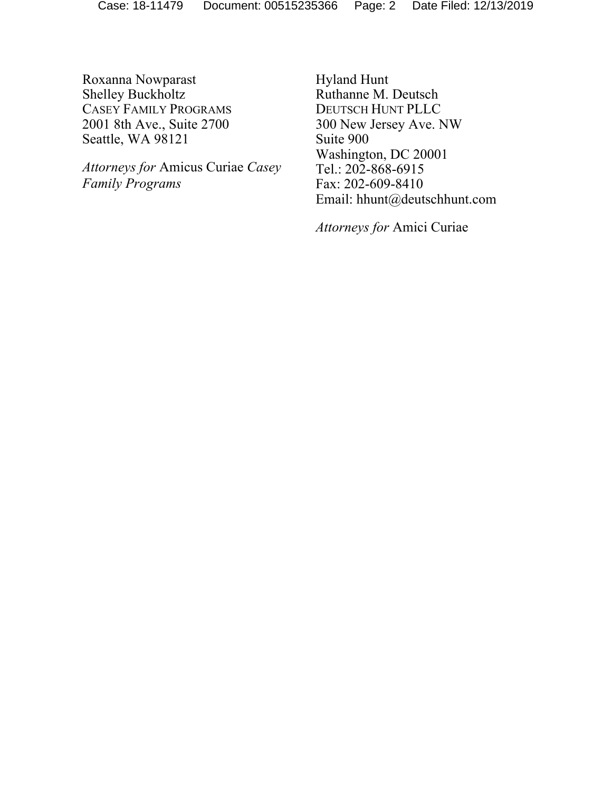Roxanna Nowparast Shelley Buckholtz CASEY FAMILY PROGRAMS 2001 8th Ave., Suite 2700 Seattle, WA 98121

 *Attorneys for* Amicus Curiae *Casey Family Programs* 

Hyland Hunt Ruthanne M. Deutsch DEUTSCH HUNT PLLC 300 New Jersey Ave. NW Suite 900 Washington, DC 20001 Tel.: 202-868-6915 Fax: 202-609-8410 Email: hhunt@deutschhunt.com

*Attorneys for* Amici Curiae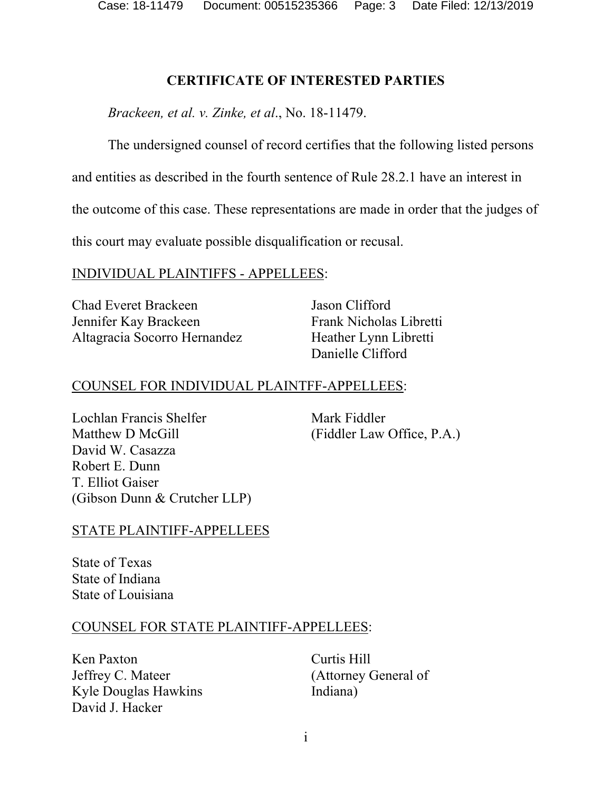Case: 18-11479 Document: 00515235366 Page: 3 Date Filed: 12/13/2019

### **CERTIFICATE OF INTERESTED PARTIES**

*Brackeen, et al. v. Zinke, et al*., No. 18-11479.

The undersigned counsel of record certifies that the following listed persons

and entities as described in the fourth sentence of Rule 28.2.1 have an interest in

the outcome of this case. These representations are made in order that the judges of

this court may evaluate possible disqualification or recusal.

### INDIVIDUAL PLAINTIFFS - APPELLEES:

Chad Everet Brackeen Jennifer Kay Brackeen Altagracia Socorro Hernandez Jason Clifford Frank Nicholas Libretti Heather Lynn Libretti Danielle Clifford

# COUNSEL FOR INDIVIDUAL PLAINTFF-APPELLEES:

Lochlan Francis Shelfer Matthew D McGill David W. Casazza Robert E. Dunn T. Elliot Gaiser (Gibson Dunn & Crutcher LLP)

Mark Fiddler (Fiddler Law Office, P.A.)

# STATE PLAINTIFF-APPELLEES

State of Texas State of Indiana State of Louisiana

#### COUNSEL FOR STATE PLAINTIFF-APPELLEES:

Ken Paxton Jeffrey C. Mateer Kyle Douglas Hawkins David J. Hacker

Curtis Hill (Attorney General of Indiana)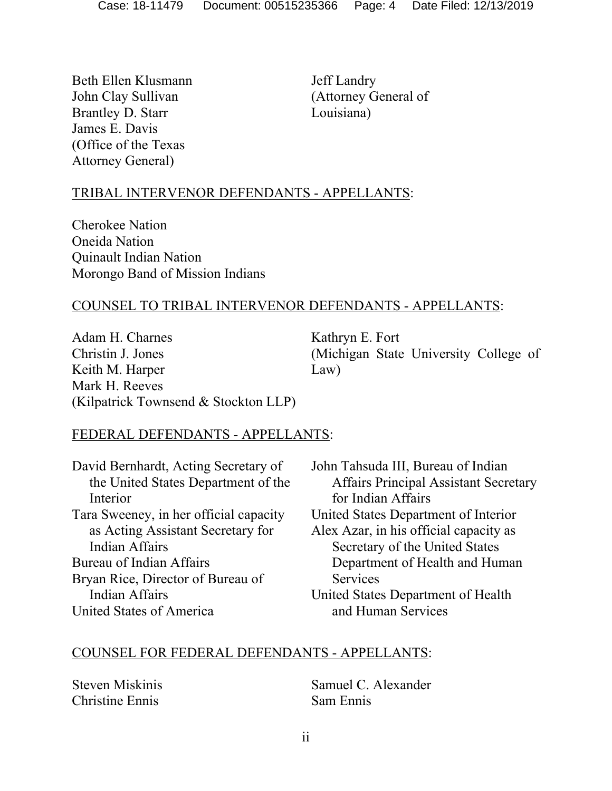Beth Ellen Klusmann John Clay Sullivan Brantley D. Starr James E. Davis (Office of the Texas Attorney General)

Jeff Landry (Attorney General of Louisiana)

# TRIBAL INTERVENOR DEFENDANTS - APPELLANTS:

Cherokee Nation Oneida Nation Quinault Indian Nation Morongo Band of Mission Indians

### COUNSEL TO TRIBAL INTERVENOR DEFENDANTS - APPELLANTS:

Adam H. Charnes Christin J. Jones Keith M. Harper Mark H. Reeves (Kilpatrick Townsend & Stockton LLP) Kathryn E. Fort (Michigan State University College of Law)

#### FEDERAL DEFENDANTS - APPELLANTS:

| David Bernhardt, Acting Secretary of   | John Tahsuda III, Bureau of Indian           |
|----------------------------------------|----------------------------------------------|
| the United States Department of the    | <b>Affairs Principal Assistant Secretary</b> |
| Interior                               | for Indian Affairs                           |
| Tara Sweeney, in her official capacity | United States Department of Interior         |
| as Acting Assistant Secretary for      | Alex Azar, in his official capacity as       |
| <b>Indian Affairs</b>                  | Secretary of the United States               |
| Bureau of Indian Affairs               | Department of Health and Human               |
| Bryan Rice, Director of Bureau of      | Services                                     |
| <b>Indian Affairs</b>                  | United States Department of Health           |
| United States of America               | and Human Services                           |

#### COUNSEL FOR FEDERAL DEFENDANTS - APPELLANTS:

Steven Miskinis Christine Ennis

Samuel C. Alexander Sam Ennis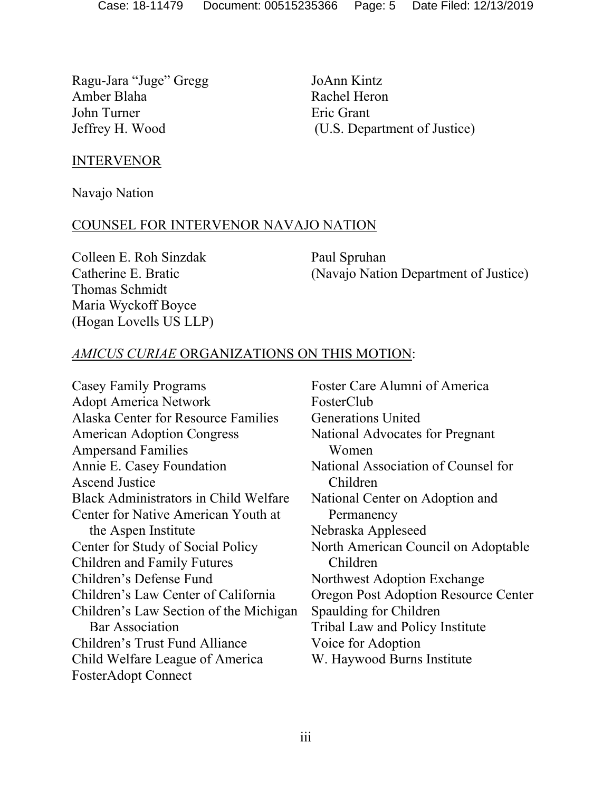Ragu-Jara "Juge" Gregg Amber Blaha John Turner Jeffrey H. Wood

JoAnn Kintz Rachel Heron Eric Grant (U.S. Department of Justice)

#### INTERVENOR

Navajo Nation

#### COUNSEL FOR INTERVENOR NAVAJO NATION

Colleen E. Roh Sinzdak Catherine E. Bratic Thomas Schmidt Maria Wyckoff Boyce (Hogan Lovells US LLP) Paul Spruhan (Navajo Nation Department of Justice)

### *AMICUS CURIAE* ORGANIZATIONS ON THIS MOTION:

Casey Family Programs Adopt America Network Alaska Center for Resource Families American Adoption Congress Ampersand Families Annie E. Casey Foundation Ascend Justice Black Administrators in Child Welfare Center for Native American Youth at the Aspen Institute Center for Study of Social Policy Children and Family Futures Children's Defense Fund Children's Law Center of California Children's Law Section of the Michigan Bar Association Children's Trust Fund Alliance Child Welfare League of America FosterAdopt Connect

Foster Care Alumni of America FosterClub Generations United National Advocates for Pregnant Women National Association of Counsel for Children National Center on Adoption and Permanency Nebraska Appleseed North American Council on Adoptable Children Northwest Adoption Exchange Oregon Post Adoption Resource Center Spaulding for Children Tribal Law and Policy Institute Voice for Adoption W. Haywood Burns Institute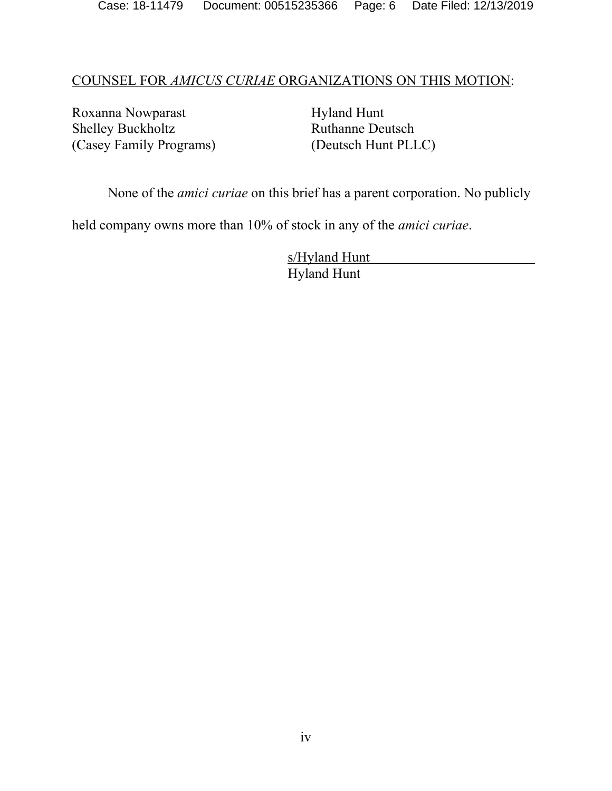#### COUNSEL FOR *AMICUS CURIAE* ORGANIZATIONS ON THIS MOTION:

Roxanna Nowparast Shelley Buckholtz (Casey Family Programs) Hyland Hunt Ruthanne Deutsch (Deutsch Hunt PLLC)

None of the *amici curiae* on this brief has a parent corporation. No publicly

held company owns more than 10% of stock in any of the *amici curiae*.

 s/Hyland Hunt Hyland Hunt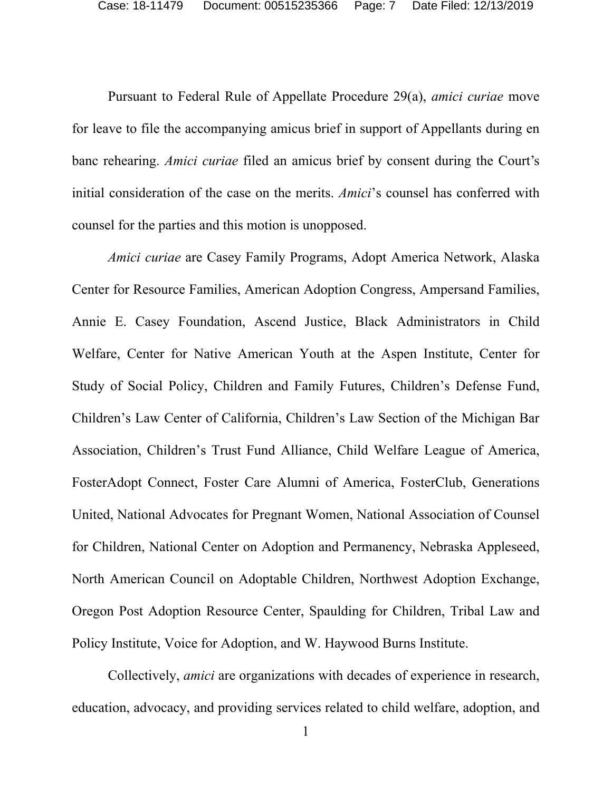Pursuant to Federal Rule of Appellate Procedure 29(a), *amici curiae* move for leave to file the accompanying amicus brief in support of Appellants during en banc rehearing. *Amici curiae* filed an amicus brief by consent during the Court's initial consideration of the case on the merits. *Amici*'s counsel has conferred with counsel for the parties and this motion is unopposed.

*Amici curiae* are Casey Family Programs, Adopt America Network, Alaska Center for Resource Families, American Adoption Congress, Ampersand Families, Annie E. Casey Foundation, Ascend Justice, Black Administrators in Child Welfare, Center for Native American Youth at the Aspen Institute, Center for Study of Social Policy, Children and Family Futures, Children's Defense Fund, Children's Law Center of California, Children's Law Section of the Michigan Bar Association, Children's Trust Fund Alliance, Child Welfare League of America, FosterAdopt Connect, Foster Care Alumni of America, FosterClub, Generations United, National Advocates for Pregnant Women, National Association of Counsel for Children, National Center on Adoption and Permanency, Nebraska Appleseed, North American Council on Adoptable Children, Northwest Adoption Exchange, Oregon Post Adoption Resource Center, Spaulding for Children, Tribal Law and Policy Institute, Voice for Adoption, and W. Haywood Burns Institute.

Collectively, *amici* are organizations with decades of experience in research, education, advocacy, and providing services related to child welfare, adoption, and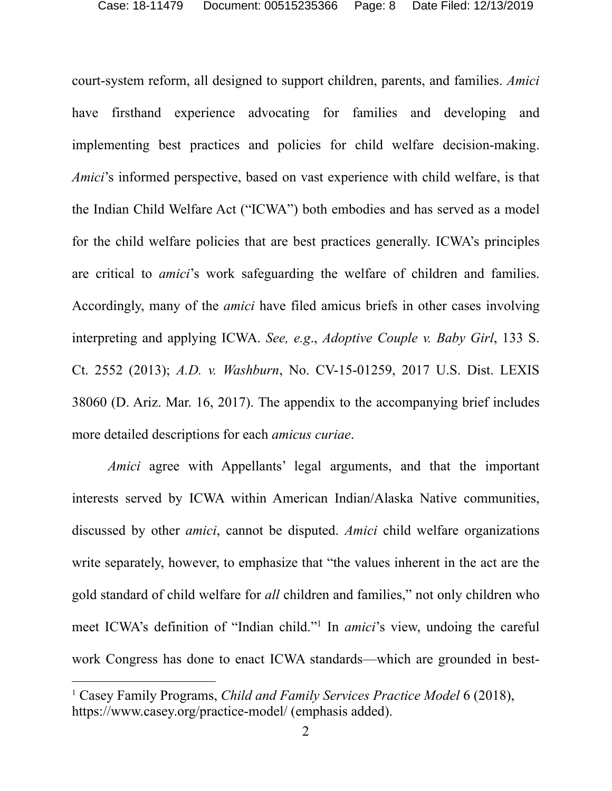court-system reform, all designed to support children, parents, and families. *Amici* have firsthand experience advocating for families and developing and implementing best practices and policies for child welfare decision-making. *Amici*'s informed perspective, based on vast experience with child welfare, is that the Indian Child Welfare Act ("ICWA") both embodies and has served as a model for the child welfare policies that are best practices generally. ICWA's principles are critical to *amici*'s work safeguarding the welfare of children and families. Accordingly, many of the *amici* have filed amicus briefs in other cases involving interpreting and applying ICWA. *See, e.g*., *Adoptive Couple v. Baby Girl*, 133 S. Ct. 2552 (2013); *A.D. v. Washburn*, No. CV-15-01259, 2017 U.S. Dist. LEXIS 38060 (D. Ariz. Mar. 16, 2017). The appendix to the accompanying brief includes more detailed descriptions for each *amicus curiae*.

*Amici* agree with Appellants' legal arguments, and that the important interests served by ICWA within American Indian/Alaska Native communities, discussed by other *amici*, cannot be disputed. *Amici* child welfare organizations write separately, however, to emphasize that "the values inherent in the act are the gold standard of child welfare for *all* children and families," not only children who meet ICWA's definition of "Indian child."1 In *amici*'s view, undoing the careful work Congress has done to enact ICWA standards—which are grounded in best-

<sup>1</sup> Casey Family Programs, *Child and Family Services Practice Model* 6 (2018), https://www.casey.org/practice-model/ (emphasis added).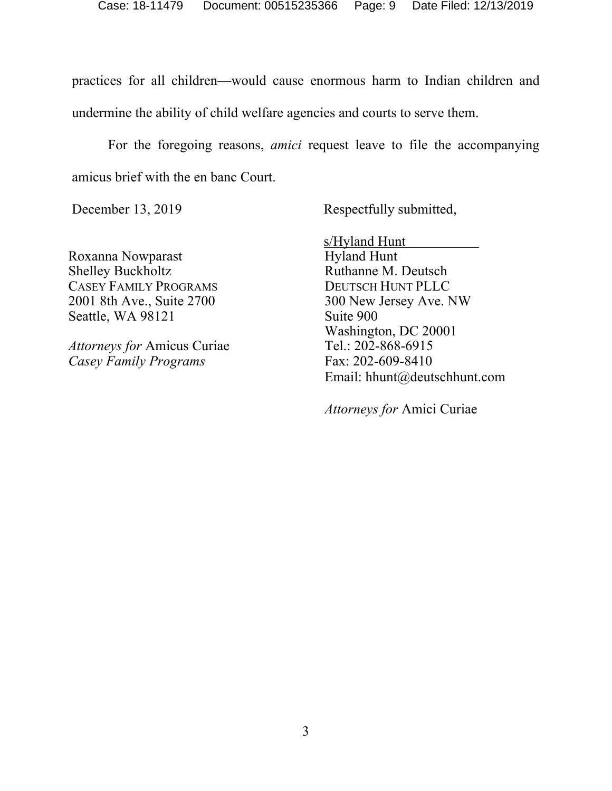practices for all children—would cause enormous harm to Indian children and undermine the ability of child welfare agencies and courts to serve them.

For the foregoing reasons, *amici* request leave to file the accompanying amicus brief with the en banc Court.

December 13, 2019 Respectfully submitted,

Roxanna Nowparast Shelley Buckholtz CASEY FAMILY PROGRAMS 2001 8th Ave., Suite 2700 Seattle, WA 98121

*Attorneys for* Amicus Curiae *Casey Family Programs* 

 s/Hyland Hunt Hyland Hunt Ruthanne M. Deutsch DEUTSCH HUNT PLLC 300 New Jersey Ave. NW Suite 900 Washington, DC 20001 Tel.: 202-868-6915 Fax: 202-609-8410 Email: hhunt@deutschhunt.com

*Attorneys for* Amici Curiae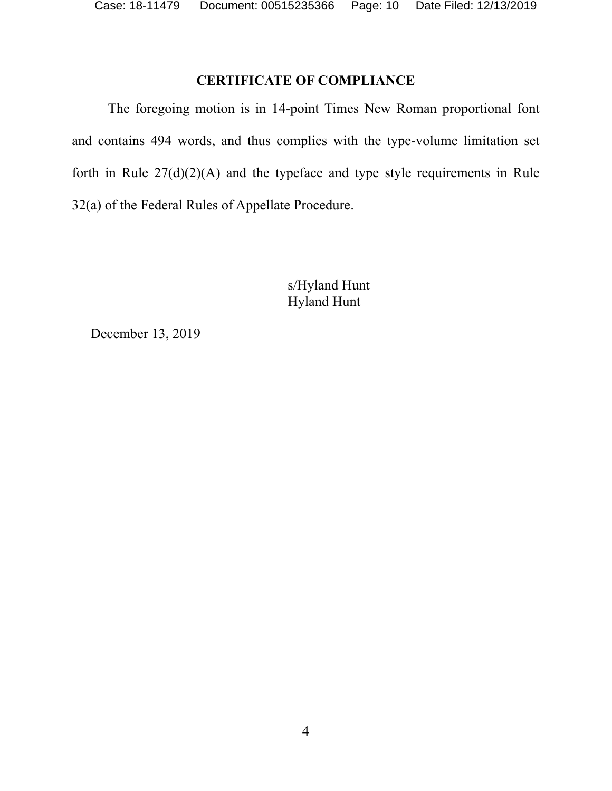# **CERTIFICATE OF COMPLIANCE**

The foregoing motion is in 14-point Times New Roman proportional font and contains 494 words, and thus complies with the type-volume limitation set forth in Rule  $27(d)(2)(A)$  and the typeface and type style requirements in Rule 32(a) of the Federal Rules of Appellate Procedure.

> s/Hyland Hunt Hyland Hunt

December 13, 2019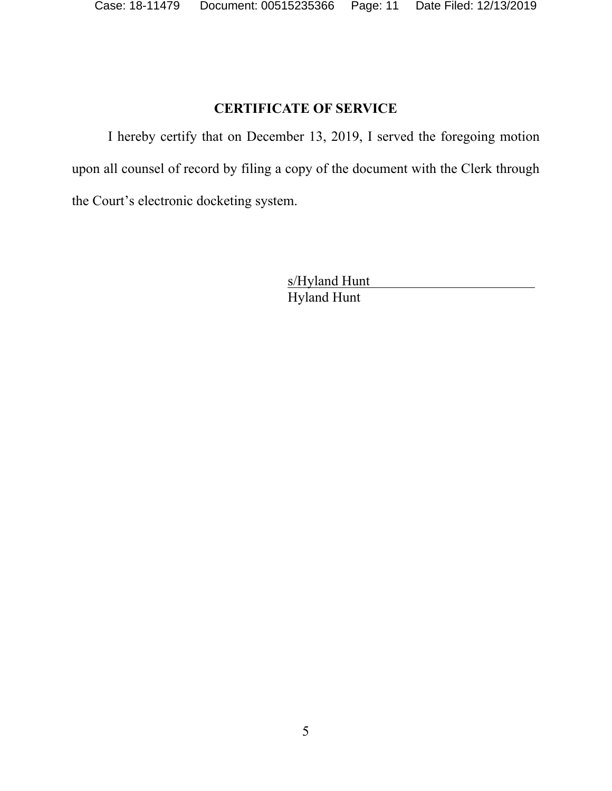# **CERTIFICATE OF SERVICE**

I hereby certify that on December 13, 2019, I served the foregoing motion upon all counsel of record by filing a copy of the document with the Clerk through the Court's electronic docketing system.

> s/Hyland Hunt Hyland Hunt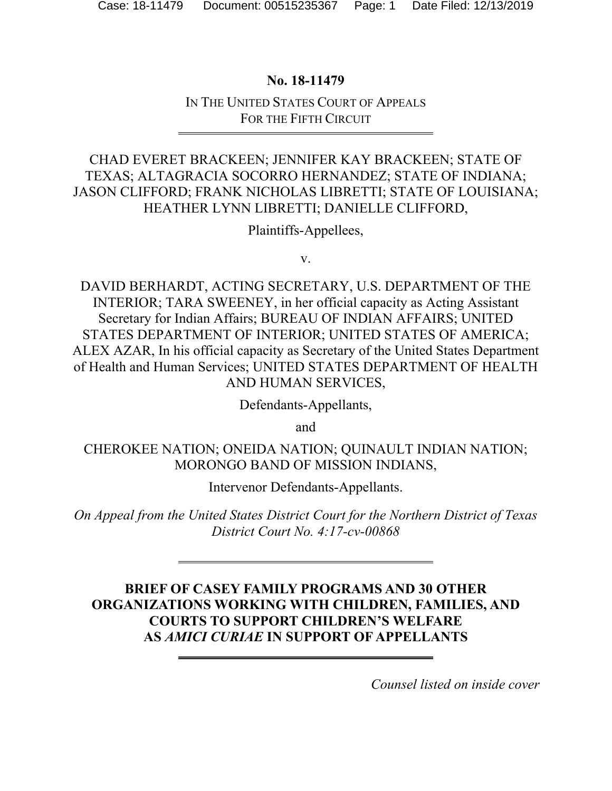### **No. 18-11479**

### IN THE UNITED STATES COURT OF APPEALS FOR THE FIFTH CIRCUIT

# CHAD EVERET BRACKEEN; JENNIFER KAY BRACKEEN; STATE OF TEXAS; ALTAGRACIA SOCORRO HERNANDEZ; STATE OF INDIANA; JASON CLIFFORD; FRANK NICHOLAS LIBRETTI; STATE OF LOUISIANA; HEATHER LYNN LIBRETTI; DANIELLE CLIFFORD,

Plaintiffs-Appellees,

v.

DAVID BERHARDT, ACTING SECRETARY, U.S. DEPARTMENT OF THE INTERIOR; TARA SWEENEY, in her official capacity as Acting Assistant Secretary for Indian Affairs; BUREAU OF INDIAN AFFAIRS; UNITED STATES DEPARTMENT OF INTERIOR; UNITED STATES OF AMERICA; ALEX AZAR, In his official capacity as Secretary of the United States Department of Health and Human Services; UNITED STATES DEPARTMENT OF HEALTH AND HUMAN SERVICES,

Defendants-Appellants,

and

CHEROKEE NATION; ONEIDA NATION; QUINAULT INDIAN NATION; MORONGO BAND OF MISSION INDIANS,

Intervenor Defendants-Appellants.

*On Appeal from the United States District Court for the Northern District of Texas District Court No. 4:17-cv-00868* 

# **BRIEF OF CASEY FAMILY PROGRAMS AND 30 OTHER ORGANIZATIONS WORKING WITH CHILDREN, FAMILIES, AND COURTS TO SUPPORT CHILDREN'S WELFARE AS** *AMICI CURIAE* **IN SUPPORT OF APPELLANTS**

*Counsel listed on inside cover*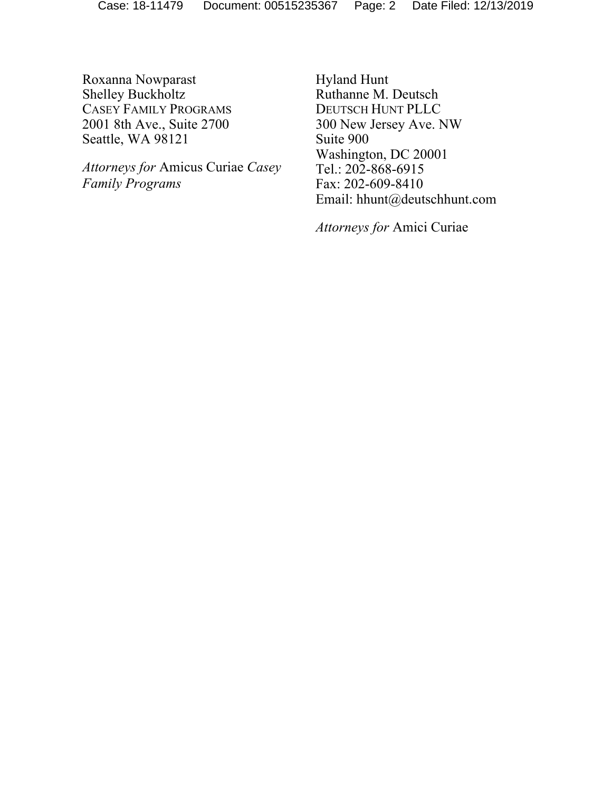Roxanna Nowparast Shelley Buckholtz CASEY FAMILY PROGRAMS 2001 8th Ave., Suite 2700 Seattle, WA 98121

 *Attorneys for* Amicus Curiae *Casey Family Programs* 

Hyland Hunt Ruthanne M. Deutsch DEUTSCH HUNT PLLC 300 New Jersey Ave. NW Suite 900 Washington, DC 20001 Tel.: 202-868-6915 Fax: 202-609-8410 Email: hhunt@deutschhunt.com

*Attorneys for* Amici Curiae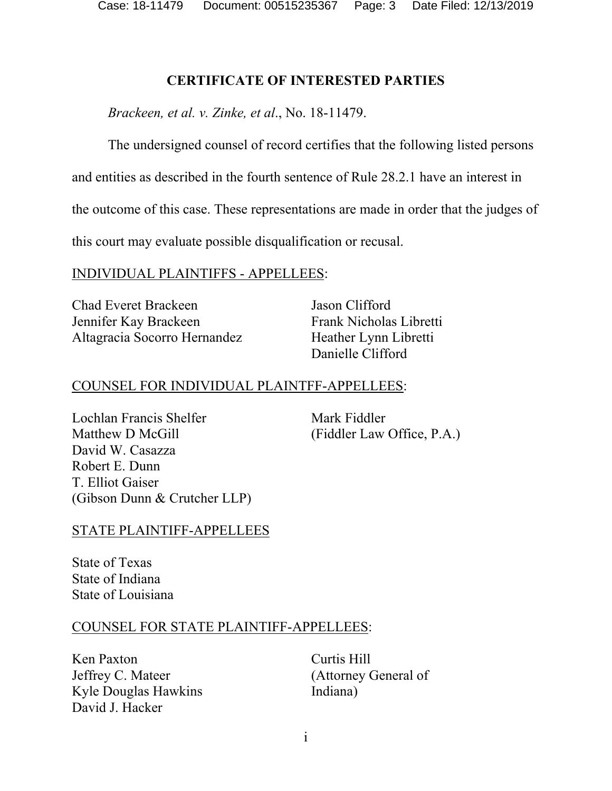Case: 18-11479 Document: 00515235367 Page: 3 Date Filed: 12/13/2019

### **CERTIFICATE OF INTERESTED PARTIES**

*Brackeen, et al. v. Zinke, et al*., No. 18-11479.

The undersigned counsel of record certifies that the following listed persons

and entities as described in the fourth sentence of Rule 28.2.1 have an interest in

the outcome of this case. These representations are made in order that the judges of

this court may evaluate possible disqualification or recusal.

### INDIVIDUAL PLAINTIFFS - APPELLEES:

Chad Everet Brackeen Jennifer Kay Brackeen Altagracia Socorro Hernandez Jason Clifford Frank Nicholas Libretti Heather Lynn Libretti Danielle Clifford

# COUNSEL FOR INDIVIDUAL PLAINTFF-APPELLEES:

Lochlan Francis Shelfer Matthew D McGill David W. Casazza Robert E. Dunn T. Elliot Gaiser (Gibson Dunn & Crutcher LLP)

Mark Fiddler (Fiddler Law Office, P.A.)

# STATE PLAINTIFF-APPELLEES

State of Texas State of Indiana State of Louisiana

#### COUNSEL FOR STATE PLAINTIFF-APPELLEES:

Ken Paxton Jeffrey C. Mateer Kyle Douglas Hawkins David J. Hacker

Curtis Hill (Attorney General of Indiana)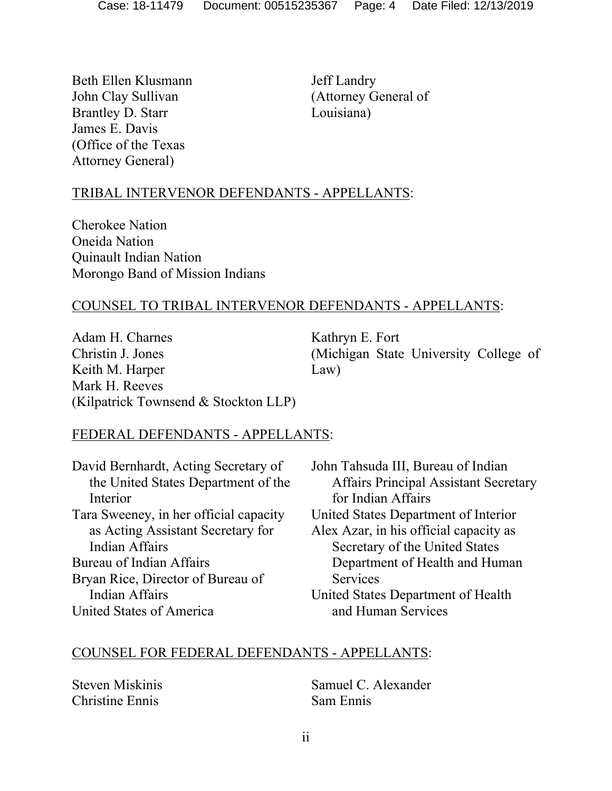Beth Ellen Klusmann John Clay Sullivan Brantley D. Starr James E. Davis (Office of the Texas Attorney General)

Jeff Landry (Attorney General of Louisiana)

# TRIBAL INTERVENOR DEFENDANTS - APPELLANTS:

Cherokee Nation Oneida Nation Quinault Indian Nation Morongo Band of Mission Indians

### COUNSEL TO TRIBAL INTERVENOR DEFENDANTS - APPELLANTS:

Adam H. Charnes Christin J. Jones Keith M. Harper Mark H. Reeves (Kilpatrick Townsend & Stockton LLP) Kathryn E. Fort (Michigan State University College of Law)

#### FEDERAL DEFENDANTS - APPELLANTS:

| David Bernhardt, Acting Secretary of   | John Tahsuda III, Bureau of Indian           |
|----------------------------------------|----------------------------------------------|
| the United States Department of the    | <b>Affairs Principal Assistant Secretary</b> |
| Interior                               | for Indian Affairs                           |
| Tara Sweeney, in her official capacity | United States Department of Interior         |
| as Acting Assistant Secretary for      | Alex Azar, in his official capacity as       |
| <b>Indian Affairs</b>                  | Secretary of the United States               |
| Bureau of Indian Affairs               | Department of Health and Human               |
| Bryan Rice, Director of Bureau of      | Services                                     |
| <b>Indian Affairs</b>                  | United States Department of Health           |
| United States of America               | and Human Services                           |

#### COUNSEL FOR FEDERAL DEFENDANTS - APPELLANTS:

Steven Miskinis Christine Ennis

Samuel C. Alexander Sam Ennis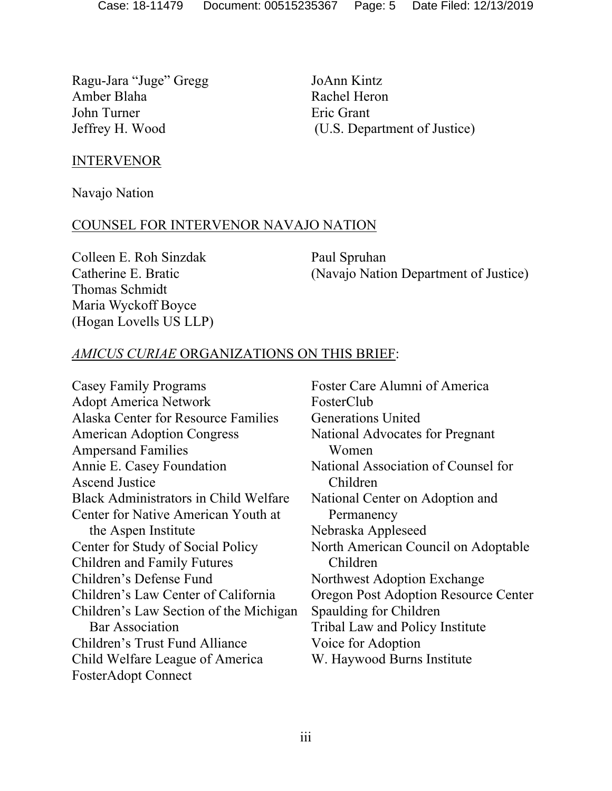Ragu-Jara "Juge" Gregg Amber Blaha John Turner Jeffrey H. Wood

JoAnn Kintz Rachel Heron Eric Grant (U.S. Department of Justice)

#### INTERVENOR

Navajo Nation

#### COUNSEL FOR INTERVENOR NAVAJO NATION

Colleen E. Roh Sinzdak Catherine E. Bratic Thomas Schmidt Maria Wyckoff Boyce (Hogan Lovells US LLP) Paul Spruhan (Navajo Nation Department of Justice)

### *AMICUS CURIAE* ORGANIZATIONS ON THIS BRIEF:

Casey Family Programs Adopt America Network Alaska Center for Resource Families American Adoption Congress Ampersand Families Annie E. Casey Foundation Ascend Justice Black Administrators in Child Welfare Center for Native American Youth at the Aspen Institute Center for Study of Social Policy Children and Family Futures Children's Defense Fund Children's Law Center of California Children's Law Section of the Michigan Bar Association Children's Trust Fund Alliance Child Welfare League of America FosterAdopt Connect

Foster Care Alumni of America FosterClub Generations United National Advocates for Pregnant Women National Association of Counsel for Children National Center on Adoption and Permanency Nebraska Appleseed North American Council on Adoptable Children Northwest Adoption Exchange Oregon Post Adoption Resource Center Spaulding for Children Tribal Law and Policy Institute Voice for Adoption W. Haywood Burns Institute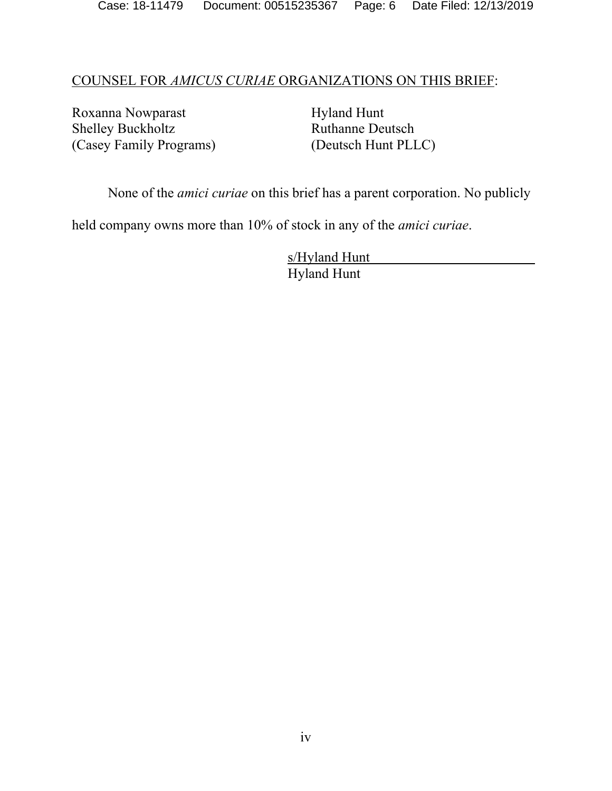#### COUNSEL FOR *AMICUS CURIAE* ORGANIZATIONS ON THIS BRIEF:

Roxanna Nowparast Shelley Buckholtz (Casey Family Programs) Hyland Hunt Ruthanne Deutsch (Deutsch Hunt PLLC)

None of the *amici curiae* on this brief has a parent corporation. No publicly

held company owns more than 10% of stock in any of the *amici curiae*.

 s/Hyland Hunt Hyland Hunt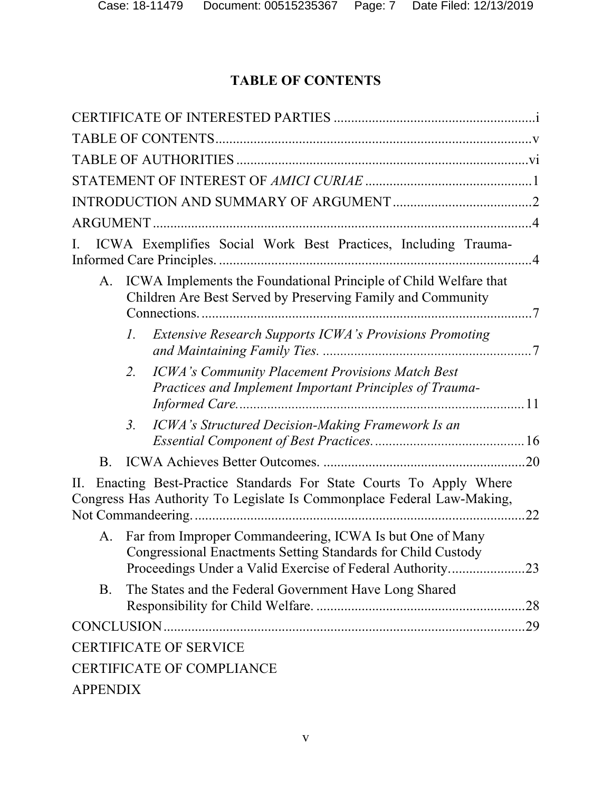# **TABLE OF CONTENTS**

| ICWA Exemplifies Social Work Best Practices, Including Trauma-<br>Ι.                                                                                                                        |
|---------------------------------------------------------------------------------------------------------------------------------------------------------------------------------------------|
| ICWA Implements the Foundational Principle of Child Welfare that<br>A.<br>Children Are Best Served by Preserving Family and Community                                                       |
| <b>Extensive Research Supports ICWA's Provisions Promoting</b><br>Ι.                                                                                                                        |
| <b>ICWA's Community Placement Provisions Match Best</b><br>2.<br>Practices and Implement Important Principles of Trauma-                                                                    |
| ICWA's Structured Decision-Making Framework Is an<br>3 <sub>1</sub>                                                                                                                         |
| $B_{\cdot}$                                                                                                                                                                                 |
| Enacting Best-Practice Standards For State Courts To Apply Where<br>Н.<br>Congress Has Authority To Legislate Is Commonplace Federal Law-Making,<br>22                                      |
| Far from Improper Commandeering, ICWA Is but One of Many<br>А.<br>Congressional Enactments Setting Standards for Child Custody<br>Proceedings Under a Valid Exercise of Federal Authority23 |
| The States and the Federal Government Have Long Shared<br><b>B.</b><br>.28                                                                                                                  |
|                                                                                                                                                                                             |
| <b>CERTIFICATE OF SERVICE</b>                                                                                                                                                               |
| <b>CERTIFICATE OF COMPLIANCE</b>                                                                                                                                                            |
| <b>APPENDIX</b>                                                                                                                                                                             |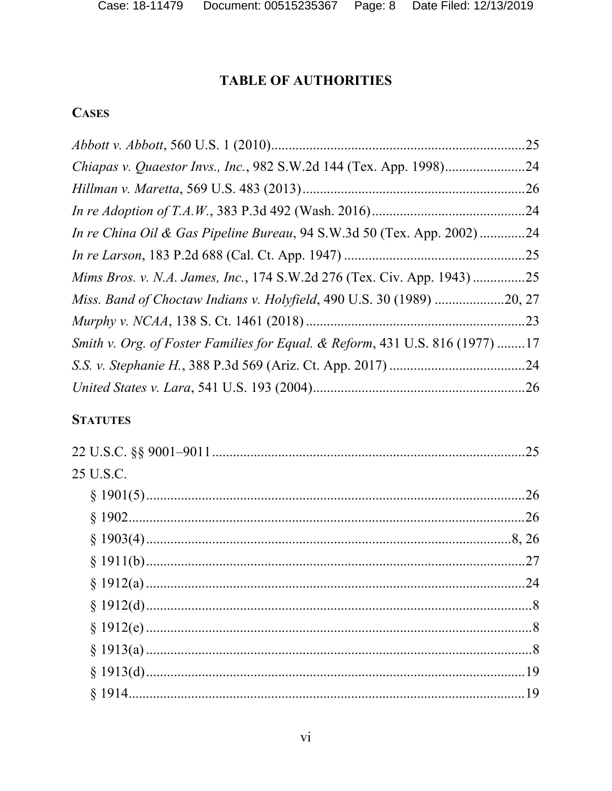# **TABLE OF AUTHORITIES**

# **CASES**

| In re China Oil & Gas Pipeline Bureau, 94 S.W.3d 50 (Tex. App. 2002) 24      |  |
|------------------------------------------------------------------------------|--|
|                                                                              |  |
| Mims Bros. v. N.A. James, Inc., 174 S.W.2d 276 (Tex. Civ. App. 1943) 25      |  |
|                                                                              |  |
|                                                                              |  |
| Smith v. Org. of Foster Families for Equal. & Reform, 431 U.S. 816 (1977) 17 |  |
|                                                                              |  |
|                                                                              |  |

# **STATUTES**

| 25 U.S.C. |  |
|-----------|--|
|           |  |
|           |  |
|           |  |
|           |  |
|           |  |
|           |  |
|           |  |
|           |  |
|           |  |
|           |  |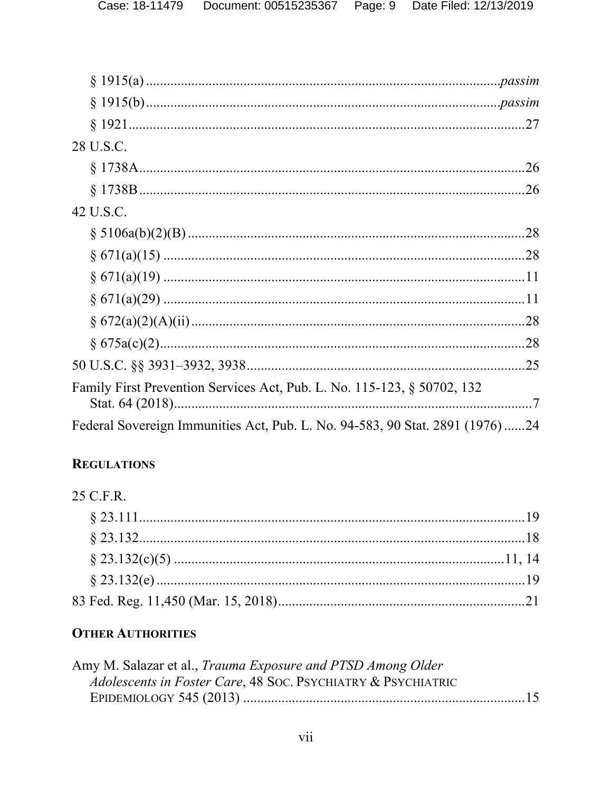| 28 U.S.C.                                                                    |  |
|------------------------------------------------------------------------------|--|
|                                                                              |  |
|                                                                              |  |
| 42 U.S.C.                                                                    |  |
|                                                                              |  |
|                                                                              |  |
|                                                                              |  |
|                                                                              |  |
|                                                                              |  |
|                                                                              |  |
|                                                                              |  |
| Family First Prevention Services Act, Pub. L. No. 115-123, § 50702, 132      |  |
| Federal Sovereign Immunities Act, Pub. L. No. 94-583, 90 Stat. 2891 (1976)24 |  |

# **REGULATIONS**

# 25 C.F.R.

# **OTHER AUTHORITIES**

| Amy M. Salazar et al., Trauma Exposure and PTSD Among Older  |  |
|--------------------------------------------------------------|--|
| Adolescents in Foster Care, 48 Soc. PSYCHIATRY & PSYCHIATRIC |  |
|                                                              |  |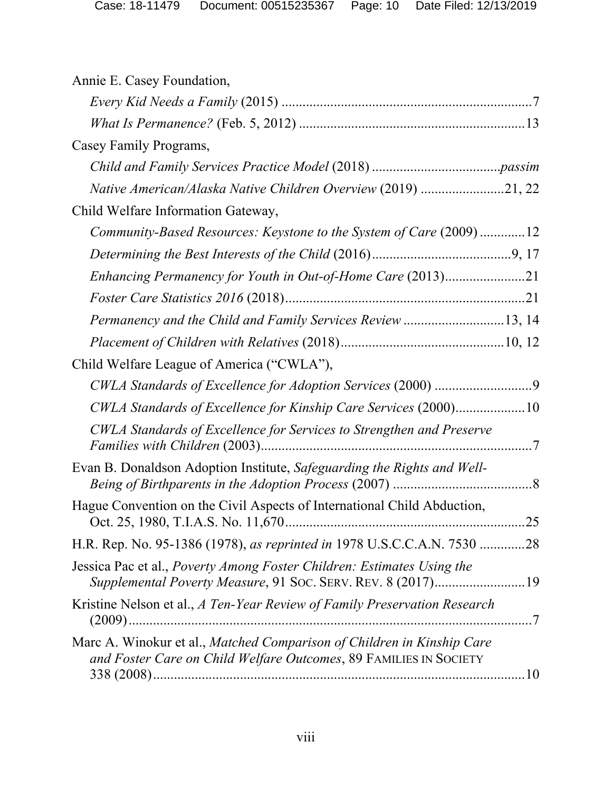| Annie E. Casey Foundation,                                                                                                                   |
|----------------------------------------------------------------------------------------------------------------------------------------------|
|                                                                                                                                              |
|                                                                                                                                              |
| Casey Family Programs,                                                                                                                       |
|                                                                                                                                              |
| Native American/Alaska Native Children Overview (2019) 21, 22                                                                                |
| Child Welfare Information Gateway,                                                                                                           |
| Community-Based Resources: Keystone to the System of Care (2009)12                                                                           |
|                                                                                                                                              |
| Enhancing Permanency for Youth in Out-of-Home Care (2013)21                                                                                  |
|                                                                                                                                              |
| Permanency and the Child and Family Services Review 13, 14                                                                                   |
|                                                                                                                                              |
| Child Welfare League of America ("CWLA"),                                                                                                    |
|                                                                                                                                              |
| CWLA Standards of Excellence for Kinship Care Services (2000)10                                                                              |
| CWLA Standards of Excellence for Services to Strengthen and Preserve                                                                         |
| Evan B. Donaldson Adoption Institute, Safeguarding the Rights and Well-                                                                      |
| Hague Convention on the Civil Aspects of International Child Abduction,                                                                      |
| H.R. Rep. No. 95-1386 (1978), as reprinted in 1978 U.S.C.C.A.N. 7530 28                                                                      |
| Jessica Pac et al., <i>Poverty Among Foster Children: Estimates Using the</i><br>Supplemental Poverty Measure, 91 Soc. SERV. REV. 8 (2017)19 |
| Kristine Nelson et al., A Ten-Year Review of Family Preservation Research                                                                    |
| Marc A. Winokur et al., Matched Comparison of Children in Kinship Care<br>and Foster Care on Child Welfare Outcomes, 89 FAMILIES IN SOCIETY  |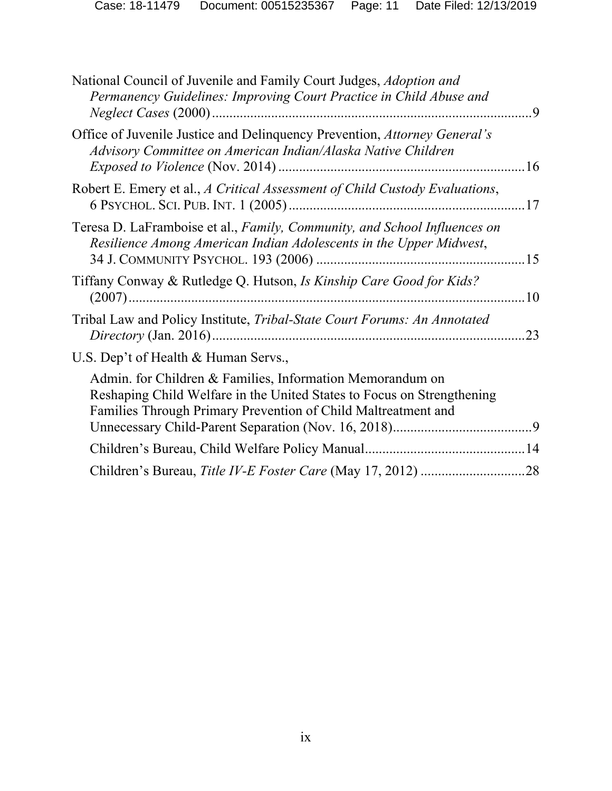| National Council of Juvenile and Family Court Judges, Adoption and<br>Permanency Guidelines: Improving Court Practice in Child Abuse and                                                             |    |
|------------------------------------------------------------------------------------------------------------------------------------------------------------------------------------------------------|----|
| Office of Juvenile Justice and Delinquency Prevention, Attorney General's<br>Advisory Committee on American Indian/Alaska Native Children                                                            |    |
| Robert E. Emery et al., A Critical Assessment of Child Custody Evaluations,                                                                                                                          |    |
| Teresa D. LaFramboise et al., Family, Community, and School Influences on<br>Resilience Among American Indian Adolescents in the Upper Midwest,                                                      |    |
| Tiffany Conway & Rutledge Q. Hutson, Is Kinship Care Good for Kids?                                                                                                                                  |    |
| Tribal Law and Policy Institute, Tribal-State Court Forums: An Annotated                                                                                                                             | 23 |
| U.S. Dep't of Health & Human Servs.,                                                                                                                                                                 |    |
| Admin. for Children & Families, Information Memorandum on<br>Reshaping Child Welfare in the United States to Focus on Strengthening<br>Families Through Primary Prevention of Child Maltreatment and |    |
|                                                                                                                                                                                                      |    |
|                                                                                                                                                                                                      |    |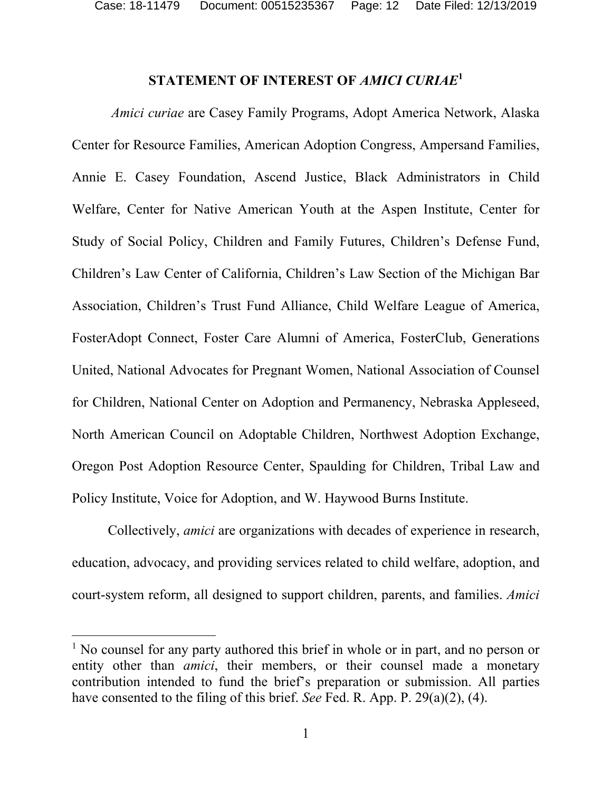Case: 18-11479 Document: 00515235367 Page: 12 Date Filed: 12/13/2019

# **STATEMENT OF INTEREST OF** *AMICI CURIAE***<sup>1</sup>**

*Amici curiae* are Casey Family Programs, Adopt America Network, Alaska Center for Resource Families, American Adoption Congress, Ampersand Families, Annie E. Casey Foundation, Ascend Justice, Black Administrators in Child Welfare, Center for Native American Youth at the Aspen Institute, Center for Study of Social Policy, Children and Family Futures, Children's Defense Fund, Children's Law Center of California, Children's Law Section of the Michigan Bar Association, Children's Trust Fund Alliance, Child Welfare League of America, FosterAdopt Connect, Foster Care Alumni of America, FosterClub, Generations United, National Advocates for Pregnant Women, National Association of Counsel for Children, National Center on Adoption and Permanency, Nebraska Appleseed, North American Council on Adoptable Children, Northwest Adoption Exchange, Oregon Post Adoption Resource Center, Spaulding for Children, Tribal Law and Policy Institute, Voice for Adoption, and W. Haywood Burns Institute.

Collectively, *amici* are organizations with decades of experience in research, education, advocacy, and providing services related to child welfare, adoption, and court-system reform, all designed to support children, parents, and families. *Amici*

<sup>&</sup>lt;sup>1</sup> No counsel for any party authored this brief in whole or in part, and no person or entity other than *amici*, their members, or their counsel made a monetary contribution intended to fund the brief's preparation or submission. All parties have consented to the filing of this brief. *See* Fed. R. App. P. 29(a)(2), (4).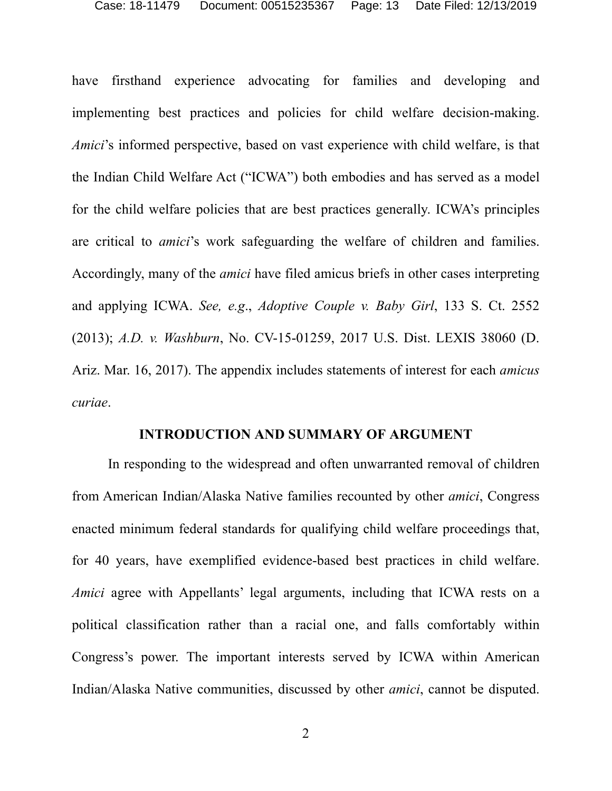have firsthand experience advocating for families and developing and implementing best practices and policies for child welfare decision-making. *Amici*'s informed perspective, based on vast experience with child welfare, is that the Indian Child Welfare Act ("ICWA") both embodies and has served as a model for the child welfare policies that are best practices generally. ICWA's principles are critical to *amici*'s work safeguarding the welfare of children and families. Accordingly, many of the *amici* have filed amicus briefs in other cases interpreting and applying ICWA. *See, e.g*., *Adoptive Couple v. Baby Girl*, 133 S. Ct. 2552 (2013); *A.D. v. Washburn*, No. CV-15-01259, 2017 U.S. Dist. LEXIS 38060 (D. Ariz. Mar. 16, 2017). The appendix includes statements of interest for each *amicus curiae*.

#### **INTRODUCTION AND SUMMARY OF ARGUMENT**

In responding to the widespread and often unwarranted removal of children from American Indian/Alaska Native families recounted by other *amici*, Congress enacted minimum federal standards for qualifying child welfare proceedings that, for 40 years, have exemplified evidence-based best practices in child welfare. *Amici* agree with Appellants' legal arguments, including that ICWA rests on a political classification rather than a racial one, and falls comfortably within Congress's power. The important interests served by ICWA within American Indian/Alaska Native communities, discussed by other *amici*, cannot be disputed.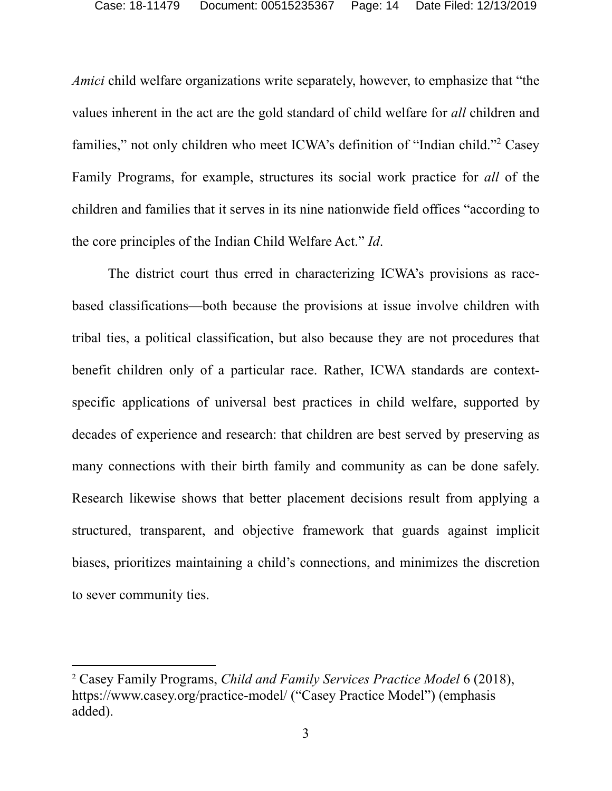*Amici* child welfare organizations write separately, however, to emphasize that "the values inherent in the act are the gold standard of child welfare for *all* children and families," not only children who meet ICWA's definition of "Indian child."<sup>2</sup> Casey Family Programs, for example, structures its social work practice for *all* of the children and families that it serves in its nine nationwide field offices "according to the core principles of the Indian Child Welfare Act." *Id*.

The district court thus erred in characterizing ICWA's provisions as racebased classifications—both because the provisions at issue involve children with tribal ties, a political classification, but also because they are not procedures that benefit children only of a particular race. Rather, ICWA standards are contextspecific applications of universal best practices in child welfare, supported by decades of experience and research: that children are best served by preserving as many connections with their birth family and community as can be done safely. Research likewise shows that better placement decisions result from applying a structured, transparent, and objective framework that guards against implicit biases, prioritizes maintaining a child's connections, and minimizes the discretion to sever community ties.

<sup>2</sup> Casey Family Programs, *Child and Family Services Practice Model* 6 (2018), https://www.casey.org/practice-model/ ("Casey Practice Model") (emphasis added).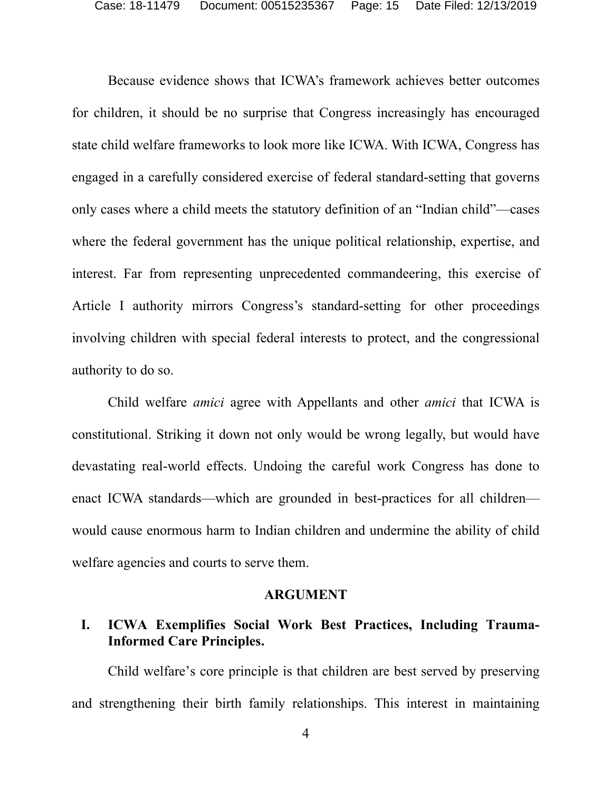Because evidence shows that ICWA's framework achieves better outcomes for children, it should be no surprise that Congress increasingly has encouraged state child welfare frameworks to look more like ICWA. With ICWA, Congress has engaged in a carefully considered exercise of federal standard-setting that governs only cases where a child meets the statutory definition of an "Indian child"—cases where the federal government has the unique political relationship, expertise, and interest. Far from representing unprecedented commandeering, this exercise of Article I authority mirrors Congress's standard-setting for other proceedings involving children with special federal interests to protect, and the congressional authority to do so.

Child welfare *amici* agree with Appellants and other *amici* that ICWA is constitutional. Striking it down not only would be wrong legally, but would have devastating real-world effects. Undoing the careful work Congress has done to enact ICWA standards—which are grounded in best-practices for all children would cause enormous harm to Indian children and undermine the ability of child welfare agencies and courts to serve them.

#### **ARGUMENT**

# **I. ICWA Exemplifies Social Work Best Practices, Including Trauma-Informed Care Principles.**

Child welfare's core principle is that children are best served by preserving and strengthening their birth family relationships. This interest in maintaining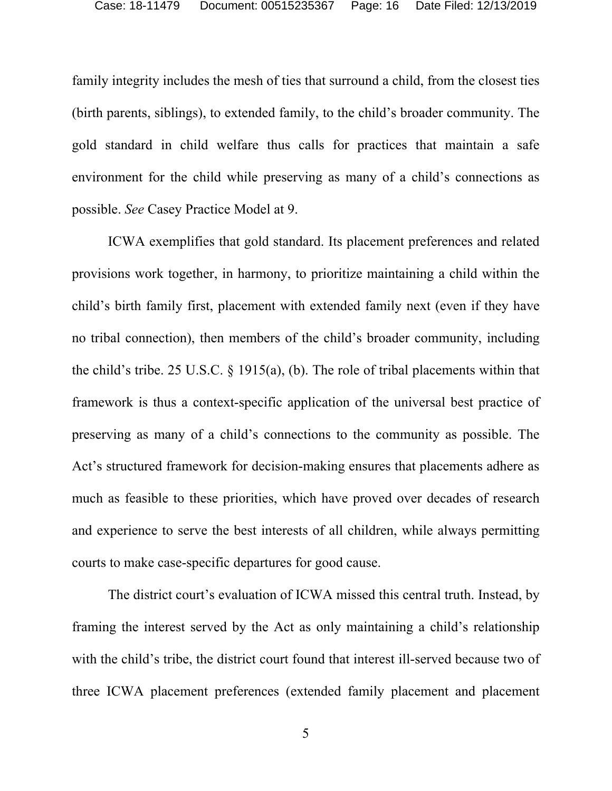family integrity includes the mesh of ties that surround a child, from the closest ties (birth parents, siblings), to extended family, to the child's broader community. The gold standard in child welfare thus calls for practices that maintain a safe environment for the child while preserving as many of a child's connections as possible. *See* Casey Practice Model at 9.

ICWA exemplifies that gold standard. Its placement preferences and related provisions work together, in harmony, to prioritize maintaining a child within the child's birth family first, placement with extended family next (even if they have no tribal connection), then members of the child's broader community, including the child's tribe. 25 U.S.C. § 1915(a), (b). The role of tribal placements within that framework is thus a context-specific application of the universal best practice of preserving as many of a child's connections to the community as possible. The Act's structured framework for decision-making ensures that placements adhere as much as feasible to these priorities, which have proved over decades of research and experience to serve the best interests of all children, while always permitting courts to make case-specific departures for good cause.

The district court's evaluation of ICWA missed this central truth. Instead, by framing the interest served by the Act as only maintaining a child's relationship with the child's tribe, the district court found that interest ill-served because two of three ICWA placement preferences (extended family placement and placement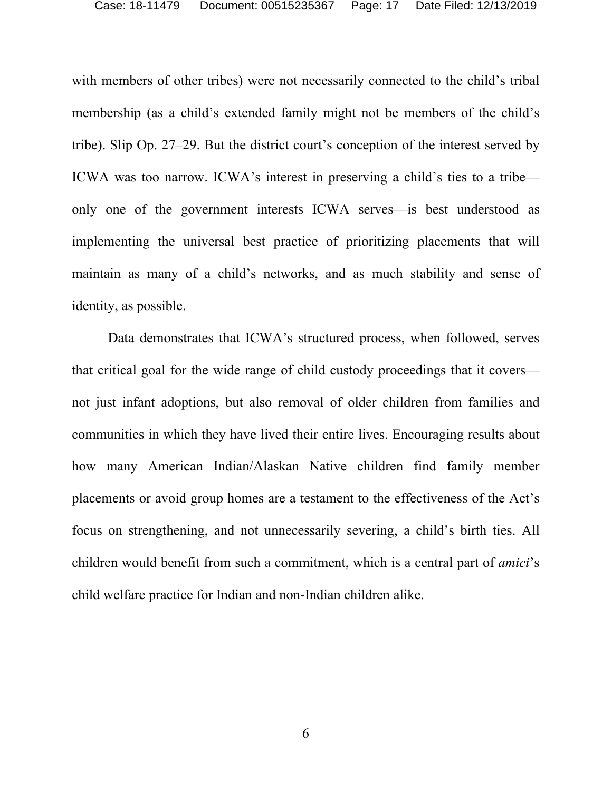with members of other tribes) were not necessarily connected to the child's tribal membership (as a child's extended family might not be members of the child's tribe). Slip Op. 27–29. But the district court's conception of the interest served by ICWA was too narrow. ICWA's interest in preserving a child's ties to a tribe only one of the government interests ICWA serves—is best understood as implementing the universal best practice of prioritizing placements that will maintain as many of a child's networks, and as much stability and sense of identity, as possible.

Data demonstrates that ICWA's structured process, when followed, serves that critical goal for the wide range of child custody proceedings that it covers not just infant adoptions, but also removal of older children from families and communities in which they have lived their entire lives. Encouraging results about how many American Indian/Alaskan Native children find family member placements or avoid group homes are a testament to the effectiveness of the Act's focus on strengthening, and not unnecessarily severing, a child's birth ties. All children would benefit from such a commitment, which is a central part of *amici*'s child welfare practice for Indian and non-Indian children alike.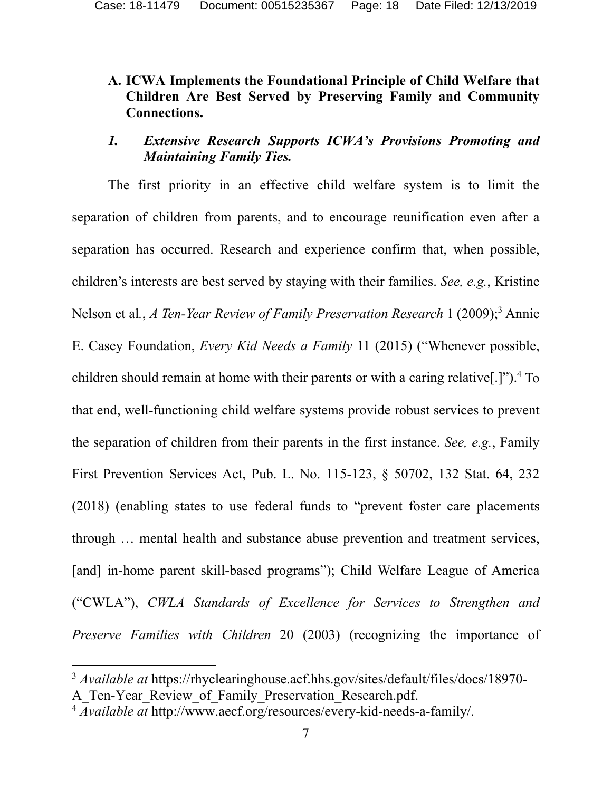# **A. ICWA Implements the Foundational Principle of Child Welfare that Children Are Best Served by Preserving Family and Community Connections.**

# *1. Extensive Research Supports ICWA's Provisions Promoting and Maintaining Family Ties.*

The first priority in an effective child welfare system is to limit the separation of children from parents, and to encourage reunification even after a separation has occurred. Research and experience confirm that, when possible, children's interests are best served by staying with their families. *See, e.g.*, Kristine Nelson et al., *A Ten-Year Review of Family Preservation Research* 1 (2009);<sup>3</sup> Annie E. Casey Foundation, *Every Kid Needs a Family* 11 (2015) ("Whenever possible, children should remain at home with their parents or with a caring relative[.]").<sup>4</sup> To that end, well-functioning child welfare systems provide robust services to prevent the separation of children from their parents in the first instance. *See, e.g.*, Family First Prevention Services Act, Pub. L. No. 115-123, § 50702, 132 Stat. 64, 232 (2018) (enabling states to use federal funds to "prevent foster care placements through … mental health and substance abuse prevention and treatment services, [and] in-home parent skill-based programs"); Child Welfare League of America ("CWLA"), *CWLA Standards of Excellence for Services to Strengthen and Preserve Families with Children* 20 (2003) (recognizing the importance of

<sup>3</sup> *Available at* https://rhyclearinghouse.acf.hhs.gov/sites/default/files/docs/18970- A Ten-Year Review of Family Preservation Research.pdf.

<sup>4</sup> *Available at* http://www.aecf.org/resources/every-kid-needs-a-family/.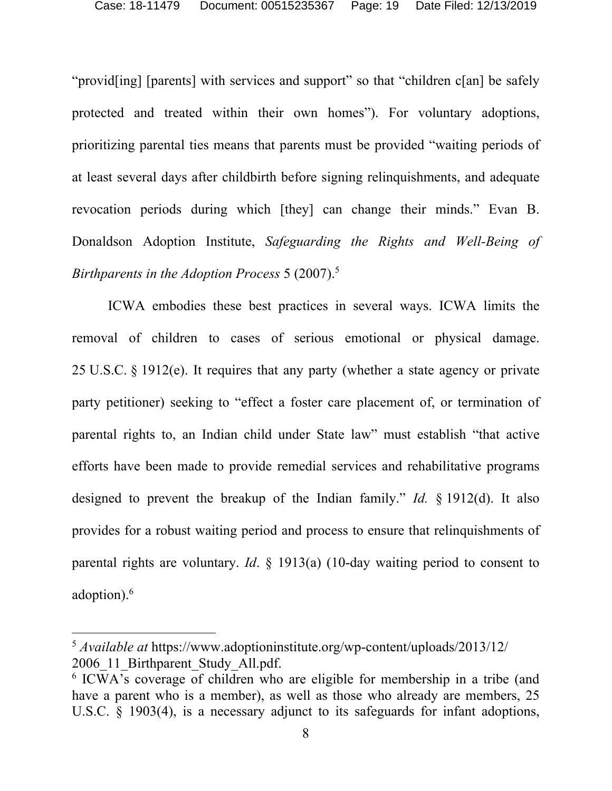"provid[ing] [parents] with services and support" so that "children c[an] be safely protected and treated within their own homes"). For voluntary adoptions, prioritizing parental ties means that parents must be provided "waiting periods of at least several days after childbirth before signing relinquishments, and adequate revocation periods during which [they] can change their minds." Evan B. Donaldson Adoption Institute, *Safeguarding the Rights and Well-Being of Birthparents in the Adoption Process* 5 (2007).5

ICWA embodies these best practices in several ways. ICWA limits the removal of children to cases of serious emotional or physical damage. 25 U.S.C. § 1912(e). It requires that any party (whether a state agency or private party petitioner) seeking to "effect a foster care placement of, or termination of parental rights to, an Indian child under State law" must establish "that active efforts have been made to provide remedial services and rehabilitative programs designed to prevent the breakup of the Indian family." *Id.* § 1912(d). It also provides for a robust waiting period and process to ensure that relinquishments of parental rights are voluntary. *Id*. § 1913(a) (10-day waiting period to consent to adoption).6

<sup>5</sup> *Available at* https://www.adoptioninstitute.org/wp-content/uploads/2013/12/ 2006 11 Birthparent Study All.pdf.

<sup>6</sup> ICWA's coverage of children who are eligible for membership in a tribe (and have a parent who is a member), as well as those who already are members, 25 U.S.C. § 1903(4), is a necessary adjunct to its safeguards for infant adoptions,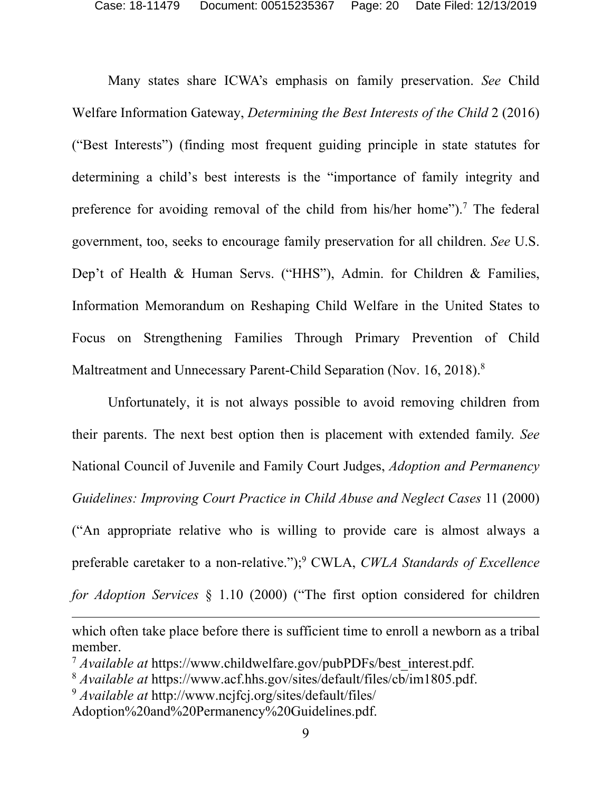Many states share ICWA's emphasis on family preservation. *See* Child Welfare Information Gateway, *Determining the Best Interests of the Child* 2 (2016) ("Best Interests") (finding most frequent guiding principle in state statutes for determining a child's best interests is the "importance of family integrity and preference for avoiding removal of the child from his/her home").<sup>7</sup> The federal government, too, seeks to encourage family preservation for all children. *See* U.S. Dep't of Health & Human Servs. ("HHS"), Admin. for Children & Families, Information Memorandum on Reshaping Child Welfare in the United States to Focus on Strengthening Families Through Primary Prevention of Child Maltreatment and Unnecessary Parent-Child Separation (Nov. 16, 2018).<sup>8</sup>

Unfortunately, it is not always possible to avoid removing children from their parents. The next best option then is placement with extended family. *See*  National Council of Juvenile and Family Court Judges, *Adoption and Permanency Guidelines: Improving Court Practice in Child Abuse and Neglect Cases* 11 (2000) ("An appropriate relative who is willing to provide care is almost always a preferable caretaker to a non-relative.");<sup>9</sup> CWLA, *CWLA Standards of Excellence for Adoption Services* § 1.10 (2000) ("The first option considered for children

which often take place before there is sufficient time to enroll a newborn as a tribal member.

<sup>&</sup>lt;sup>7</sup> *Available at* https://www.childwelfare.gov/pubPDFs/best interest.pdf.

<sup>8</sup> *Available at* https://www.acf.hhs.gov/sites/default/files/cb/im1805.pdf.

<sup>9</sup> *Available at* http://www.ncjfcj.org/sites/default/files/

Adoption%20and%20Permanency%20Guidelines.pdf.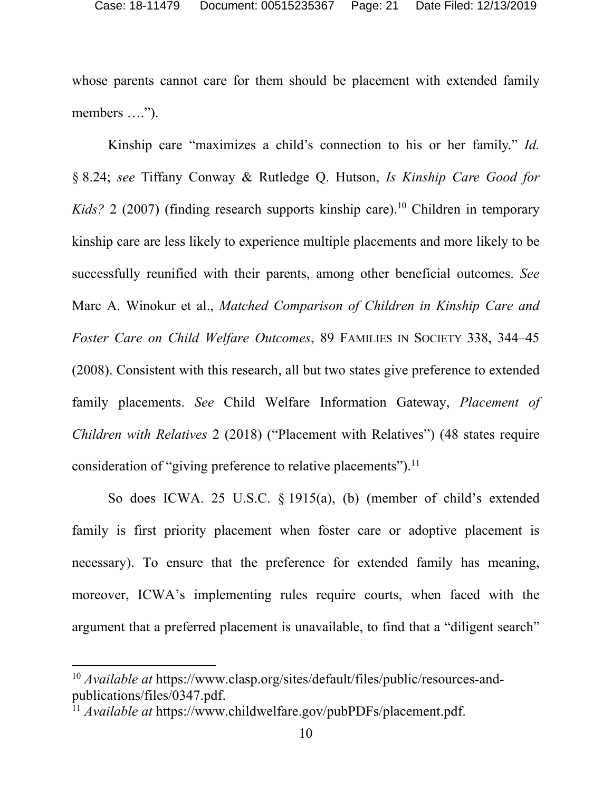whose parents cannot care for them should be placement with extended family members ….").

Kinship care "maximizes a child's connection to his or her family." *Id.* § 8.24; *see* Tiffany Conway & Rutledge Q. Hutson, *Is Kinship Care Good for Kids*? 2 (2007) (finding research supports kinship care).<sup>10</sup> Children in temporary kinship care are less likely to experience multiple placements and more likely to be successfully reunified with their parents, among other beneficial outcomes. *See* Marc A. Winokur et al., *Matched Comparison of Children in Kinship Care and Foster Care on Child Welfare Outcomes*, 89 FAMILIES IN SOCIETY 338, 344–45 (2008). Consistent with this research, all but two states give preference to extended family placements. *See* Child Welfare Information Gateway, *Placement of Children with Relatives* 2 (2018) ("Placement with Relatives") (48 states require consideration of "giving preference to relative placements").<sup>11</sup>

So does ICWA. 25 U.S.C. § 1915(a), (b) (member of child's extended family is first priority placement when foster care or adoptive placement is necessary). To ensure that the preference for extended family has meaning, moreover, ICWA's implementing rules require courts, when faced with the argument that a preferred placement is unavailable, to find that a "diligent search"

<sup>10</sup> *Available at* https://www.clasp.org/sites/default/files/public/resources-andpublications/files/0347.pdf. 11 *Available at* https://www.childwelfare.gov/pubPDFs/placement.pdf.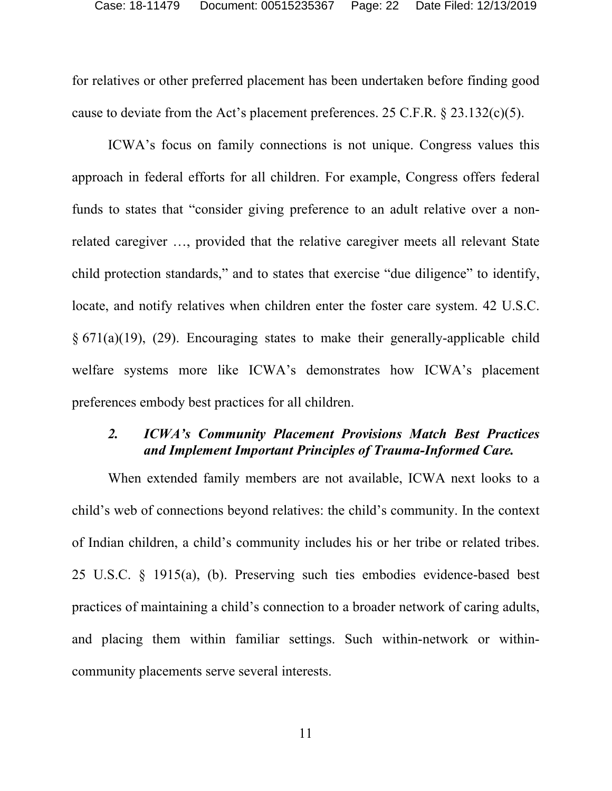for relatives or other preferred placement has been undertaken before finding good cause to deviate from the Act's placement preferences. 25 C.F.R.  $\S$  23.132(c)(5).

ICWA's focus on family connections is not unique. Congress values this approach in federal efforts for all children. For example, Congress offers federal funds to states that "consider giving preference to an adult relative over a nonrelated caregiver …, provided that the relative caregiver meets all relevant State child protection standards," and to states that exercise "due diligence" to identify, locate, and notify relatives when children enter the foster care system. 42 U.S.C. § 671(a)(19), (29). Encouraging states to make their generally-applicable child welfare systems more like ICWA's demonstrates how ICWA's placement preferences embody best practices for all children.

### *2. ICWA's Community Placement Provisions Match Best Practices and Implement Important Principles of Trauma-Informed Care.*

When extended family members are not available, ICWA next looks to a child's web of connections beyond relatives: the child's community. In the context of Indian children, a child's community includes his or her tribe or related tribes. 25 U.S.C. § 1915(a), (b). Preserving such ties embodies evidence-based best practices of maintaining a child's connection to a broader network of caring adults, and placing them within familiar settings. Such within-network or withincommunity placements serve several interests.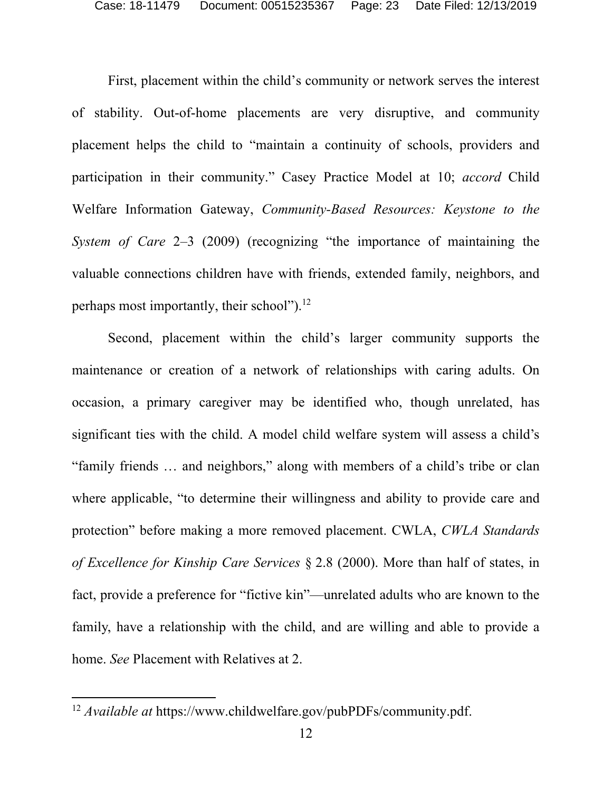First, placement within the child's community or network serves the interest of stability. Out-of-home placements are very disruptive, and community placement helps the child to "maintain a continuity of schools, providers and participation in their community." Casey Practice Model at 10; *accord* Child Welfare Information Gateway, *Community-Based Resources: Keystone to the System of Care* 2–3 (2009) (recognizing "the importance of maintaining the valuable connections children have with friends, extended family, neighbors, and perhaps most importantly, their school").<sup>12</sup>

Second, placement within the child's larger community supports the maintenance or creation of a network of relationships with caring adults. On occasion, a primary caregiver may be identified who, though unrelated, has significant ties with the child. A model child welfare system will assess a child's "family friends … and neighbors," along with members of a child's tribe or clan where applicable, "to determine their willingness and ability to provide care and protection" before making a more removed placement. CWLA, *CWLA Standards of Excellence for Kinship Care Services* § 2.8 (2000). More than half of states, in fact, provide a preference for "fictive kin"—unrelated adults who are known to the family, have a relationship with the child, and are willing and able to provide a home. *See* Placement with Relatives at 2.

<sup>12</sup> *Available at* https://www.childwelfare.gov/pubPDFs/community.pdf.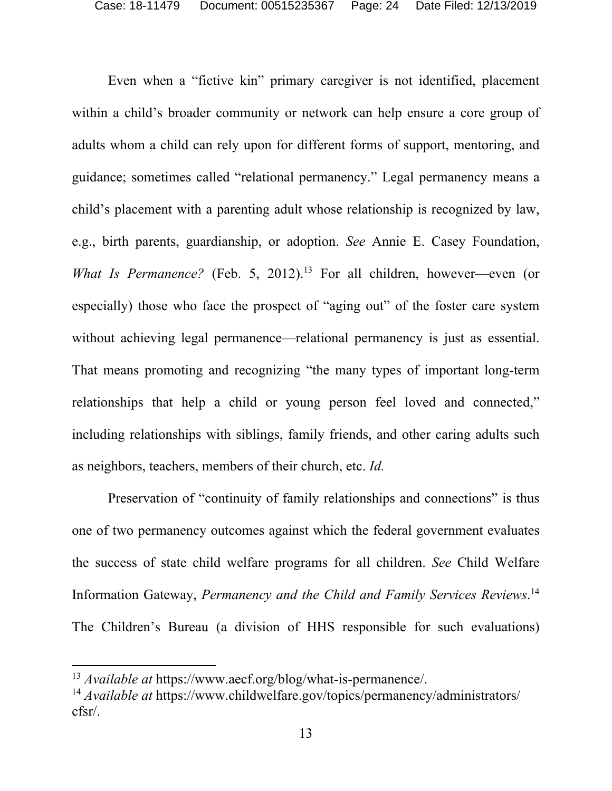Even when a "fictive kin" primary caregiver is not identified, placement within a child's broader community or network can help ensure a core group of adults whom a child can rely upon for different forms of support, mentoring, and guidance; sometimes called "relational permanency." Legal permanency means a child's placement with a parenting adult whose relationship is recognized by law, e.g., birth parents, guardianship, or adoption. *See* Annie E. Casey Foundation, *What Is Permanence?* (Feb. 5, 2012).<sup>13</sup> For all children, however—even (or especially) those who face the prospect of "aging out" of the foster care system without achieving legal permanence—relational permanency is just as essential. That means promoting and recognizing "the many types of important long-term relationships that help a child or young person feel loved and connected," including relationships with siblings, family friends, and other caring adults such as neighbors, teachers, members of their church, etc. *Id.*

Preservation of "continuity of family relationships and connections" is thus one of two permanency outcomes against which the federal government evaluates the success of state child welfare programs for all children. *See* Child Welfare Information Gateway, *Permanency and the Child and Family Services Reviews*. 14 The Children's Bureau (a division of HHS responsible for such evaluations)

<sup>13</sup> *Available at* https://www.aecf.org/blog/what-is-permanence/.

<sup>14</sup> *Available at* https://www.childwelfare.gov/topics/permanency/administrators/ cfsr/.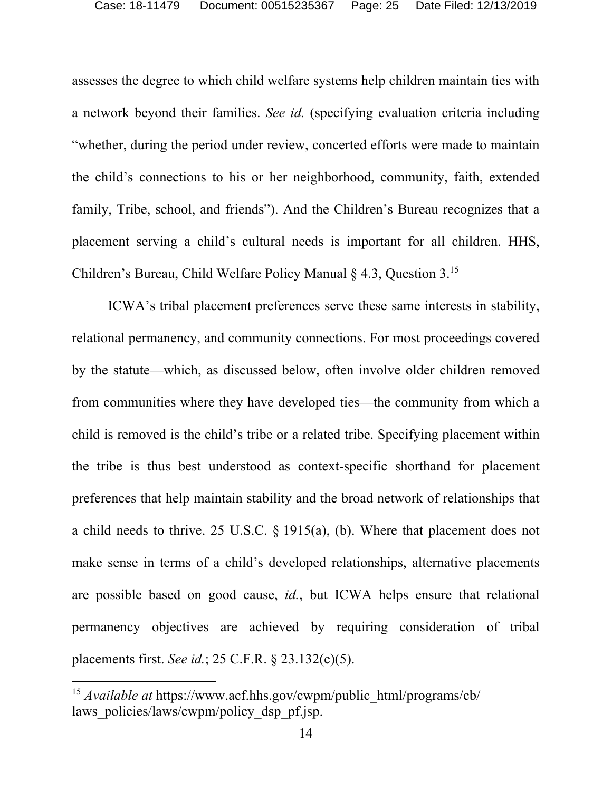assesses the degree to which child welfare systems help children maintain ties with a network beyond their families. *See id.* (specifying evaluation criteria including "whether, during the period under review, concerted efforts were made to maintain the child's connections to his or her neighborhood, community, faith, extended family, Tribe, school, and friends"). And the Children's Bureau recognizes that a placement serving a child's cultural needs is important for all children. HHS, Children's Bureau, Child Welfare Policy Manual § 4.3, Question 3.15

ICWA's tribal placement preferences serve these same interests in stability, relational permanency, and community connections. For most proceedings covered by the statute—which, as discussed below, often involve older children removed from communities where they have developed ties—the community from which a child is removed is the child's tribe or a related tribe. Specifying placement within the tribe is thus best understood as context-specific shorthand for placement preferences that help maintain stability and the broad network of relationships that a child needs to thrive. 25 U.S.C. § 1915(a), (b). Where that placement does not make sense in terms of a child's developed relationships, alternative placements are possible based on good cause, *id.*, but ICWA helps ensure that relational permanency objectives are achieved by requiring consideration of tribal placements first. *See id.*; 25 C.F.R. § 23.132(c)(5).

<sup>15</sup> *Available at* https://www.acf.hhs.gov/cwpm/public\_html/programs/cb/ laws policies/laws/cwpm/policy dsp\_pf.jsp.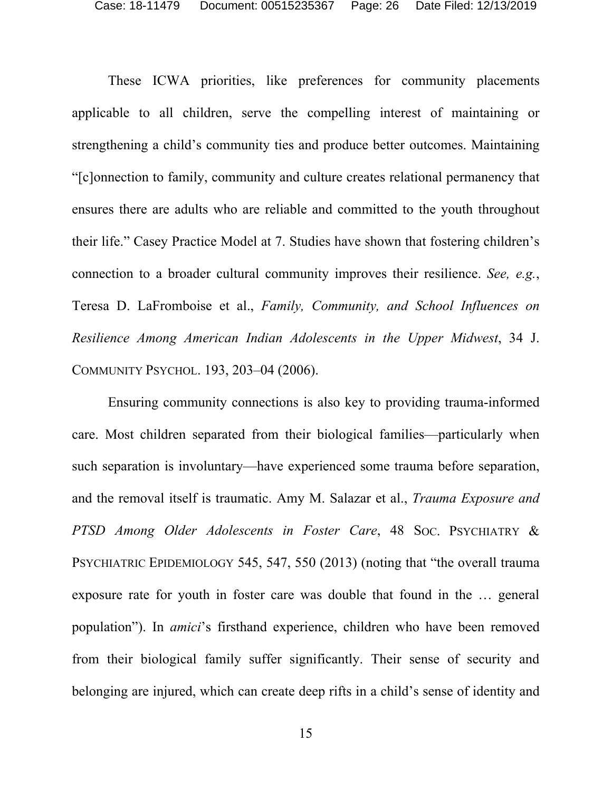These ICWA priorities, like preferences for community placements applicable to all children, serve the compelling interest of maintaining or strengthening a child's community ties and produce better outcomes. Maintaining "[c]onnection to family, community and culture creates relational permanency that ensures there are adults who are reliable and committed to the youth throughout their life." Casey Practice Model at 7. Studies have shown that fostering children's connection to a broader cultural community improves their resilience. *See, e.g.*, Teresa D. LaFromboise et al., *Family, Community, and School Influences on Resilience Among American Indian Adolescents in the Upper Midwest*, 34 J. COMMUNITY PSYCHOL. 193, 203–04 (2006).

Ensuring community connections is also key to providing trauma-informed care. Most children separated from their biological families—particularly when such separation is involuntary—have experienced some trauma before separation, and the removal itself is traumatic. Amy M. Salazar et al., *Trauma Exposure and*  PTSD Among Older Adolescents in Foster Care, 48 Soc. PSYCHIATRY & PSYCHIATRIC EPIDEMIOLOGY 545, 547, 550 (2013) (noting that "the overall trauma exposure rate for youth in foster care was double that found in the … general population"). In *amici*'s firsthand experience, children who have been removed from their biological family suffer significantly. Their sense of security and belonging are injured, which can create deep rifts in a child's sense of identity and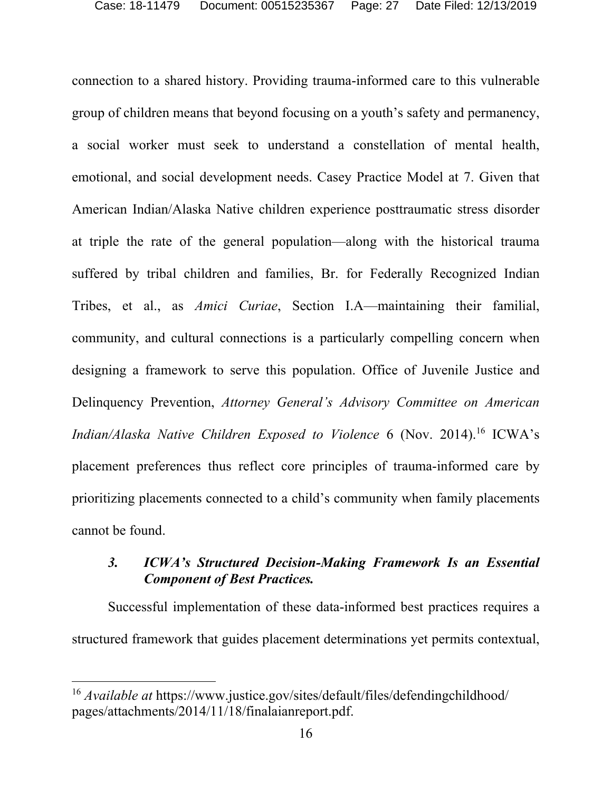connection to a shared history. Providing trauma-informed care to this vulnerable group of children means that beyond focusing on a youth's safety and permanency, a social worker must seek to understand a constellation of mental health, emotional, and social development needs. Casey Practice Model at 7. Given that American Indian/Alaska Native children experience posttraumatic stress disorder at triple the rate of the general population—along with the historical trauma suffered by tribal children and families, Br. for Federally Recognized Indian Tribes, et al., as *Amici Curiae*, Section I.A—maintaining their familial, community, and cultural connections is a particularly compelling concern when designing a framework to serve this population. Office of Juvenile Justice and Delinquency Prevention, *Attorney General's Advisory Committee on American Indian/Alaska Native Children Exposed to Violence* 6 (Nov. 2014).<sup>16</sup> ICWA's placement preferences thus reflect core principles of trauma-informed care by prioritizing placements connected to a child's community when family placements cannot be found.

# *3. ICWA's Structured Decision-Making Framework Is an Essential Component of Best Practices.*

Successful implementation of these data-informed best practices requires a structured framework that guides placement determinations yet permits contextual,

<sup>16</sup> *Available at* https://www.justice.gov/sites/default/files/defendingchildhood/ pages/attachments/2014/11/18/finalaianreport.pdf.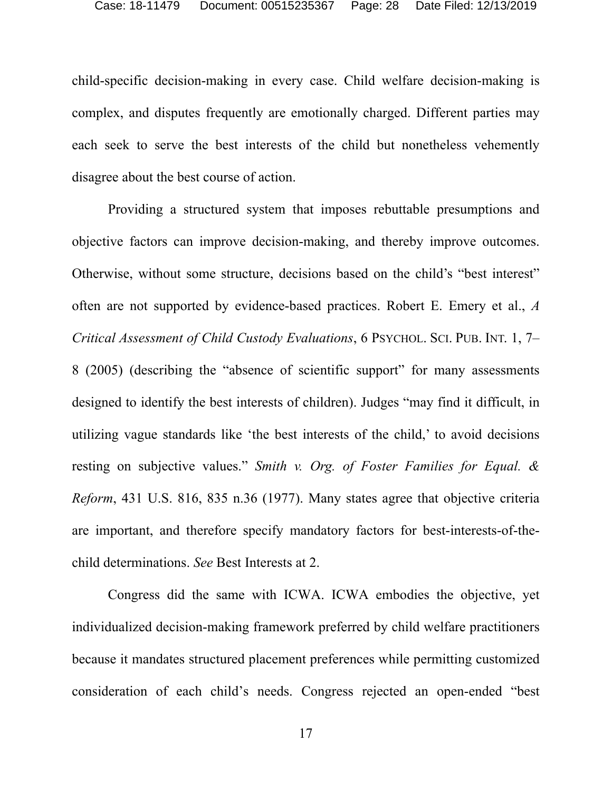child-specific decision-making in every case. Child welfare decision-making is complex, and disputes frequently are emotionally charged. Different parties may each seek to serve the best interests of the child but nonetheless vehemently disagree about the best course of action.

Providing a structured system that imposes rebuttable presumptions and objective factors can improve decision-making, and thereby improve outcomes. Otherwise, without some structure, decisions based on the child's "best interest" often are not supported by evidence-based practices. Robert E. Emery et al., *A Critical Assessment of Child Custody Evaluations*, 6 PSYCHOL. SCI. PUB. INT. 1, 7– 8 (2005) (describing the "absence of scientific support" for many assessments designed to identify the best interests of children). Judges "may find it difficult, in utilizing vague standards like 'the best interests of the child,' to avoid decisions resting on subjective values." *Smith v. Org. of Foster Families for Equal. & Reform*, 431 U.S. 816, 835 n.36 (1977). Many states agree that objective criteria are important, and therefore specify mandatory factors for best-interests-of-thechild determinations. *See* Best Interests at 2.

Congress did the same with ICWA. ICWA embodies the objective, yet individualized decision-making framework preferred by child welfare practitioners because it mandates structured placement preferences while permitting customized consideration of each child's needs. Congress rejected an open-ended "best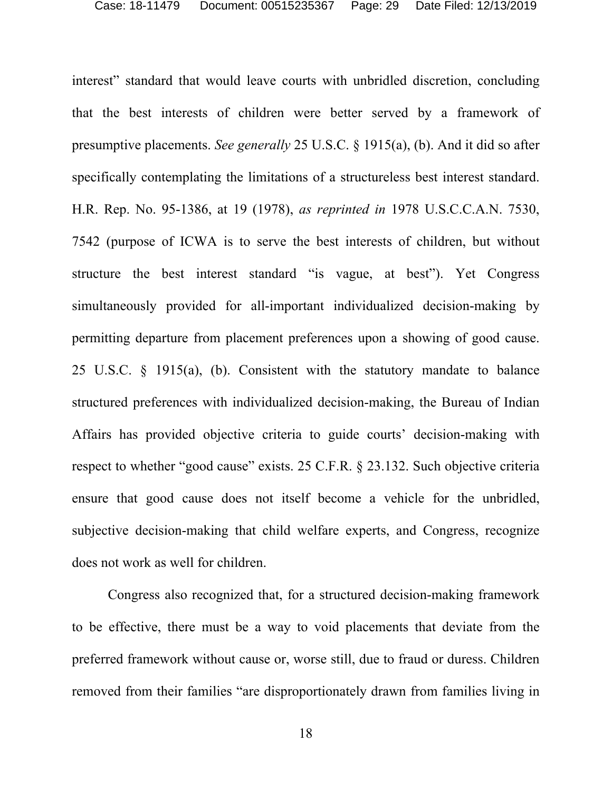interest" standard that would leave courts with unbridled discretion, concluding that the best interests of children were better served by a framework of presumptive placements. *See generally* 25 U.S.C. § 1915(a), (b). And it did so after specifically contemplating the limitations of a structureless best interest standard. H.R. Rep. No. 95-1386, at 19 (1978), *as reprinted in* 1978 U.S.C.C.A.N. 7530, 7542 (purpose of ICWA is to serve the best interests of children, but without structure the best interest standard "is vague, at best"). Yet Congress simultaneously provided for all-important individualized decision-making by permitting departure from placement preferences upon a showing of good cause. 25 U.S.C. § 1915(a), (b). Consistent with the statutory mandate to balance structured preferences with individualized decision-making, the Bureau of Indian Affairs has provided objective criteria to guide courts' decision-making with respect to whether "good cause" exists. 25 C.F.R. § 23.132. Such objective criteria ensure that good cause does not itself become a vehicle for the unbridled, subjective decision-making that child welfare experts, and Congress, recognize does not work as well for children.

Congress also recognized that, for a structured decision-making framework to be effective, there must be a way to void placements that deviate from the preferred framework without cause or, worse still, due to fraud or duress. Children removed from their families "are disproportionately drawn from families living in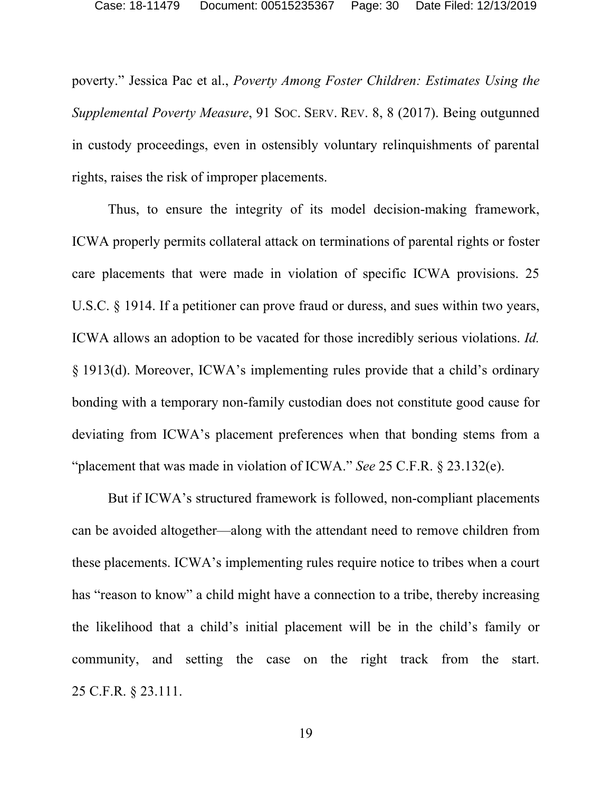poverty." Jessica Pac et al., *Poverty Among Foster Children: Estimates Using the Supplemental Poverty Measure*, 91 SOC. SERV. REV. 8, 8 (2017). Being outgunned in custody proceedings, even in ostensibly voluntary relinquishments of parental rights, raises the risk of improper placements.

Thus, to ensure the integrity of its model decision-making framework, ICWA properly permits collateral attack on terminations of parental rights or foster care placements that were made in violation of specific ICWA provisions. 25 U.S.C. § 1914. If a petitioner can prove fraud or duress, and sues within two years, ICWA allows an adoption to be vacated for those incredibly serious violations. *Id.* § 1913(d). Moreover, ICWA's implementing rules provide that a child's ordinary bonding with a temporary non-family custodian does not constitute good cause for deviating from ICWA's placement preferences when that bonding stems from a "placement that was made in violation of ICWA." *See* 25 C.F.R. § 23.132(e).

But if ICWA's structured framework is followed, non-compliant placements can be avoided altogether—along with the attendant need to remove children from these placements. ICWA's implementing rules require notice to tribes when a court has "reason to know" a child might have a connection to a tribe, thereby increasing the likelihood that a child's initial placement will be in the child's family or community, and setting the case on the right track from the start. 25 C.F.R. § 23.111.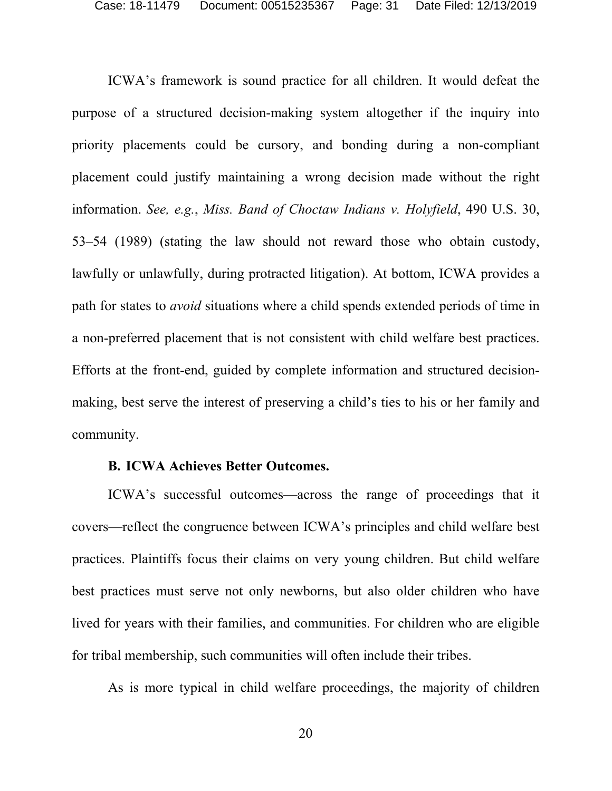ICWA's framework is sound practice for all children. It would defeat the purpose of a structured decision-making system altogether if the inquiry into priority placements could be cursory, and bonding during a non-compliant placement could justify maintaining a wrong decision made without the right information. *See, e.g.*, *Miss. Band of Choctaw Indians v. Holyfield*, 490 U.S. 30, 53–54 (1989) (stating the law should not reward those who obtain custody, lawfully or unlawfully, during protracted litigation). At bottom, ICWA provides a path for states to *avoid* situations where a child spends extended periods of time in a non-preferred placement that is not consistent with child welfare best practices. Efforts at the front-end, guided by complete information and structured decisionmaking, best serve the interest of preserving a child's ties to his or her family and community.

#### **B. ICWA Achieves Better Outcomes.**

ICWA's successful outcomes—across the range of proceedings that it covers—reflect the congruence between ICWA's principles and child welfare best practices. Plaintiffs focus their claims on very young children. But child welfare best practices must serve not only newborns, but also older children who have lived for years with their families, and communities. For children who are eligible for tribal membership, such communities will often include their tribes.

As is more typical in child welfare proceedings, the majority of children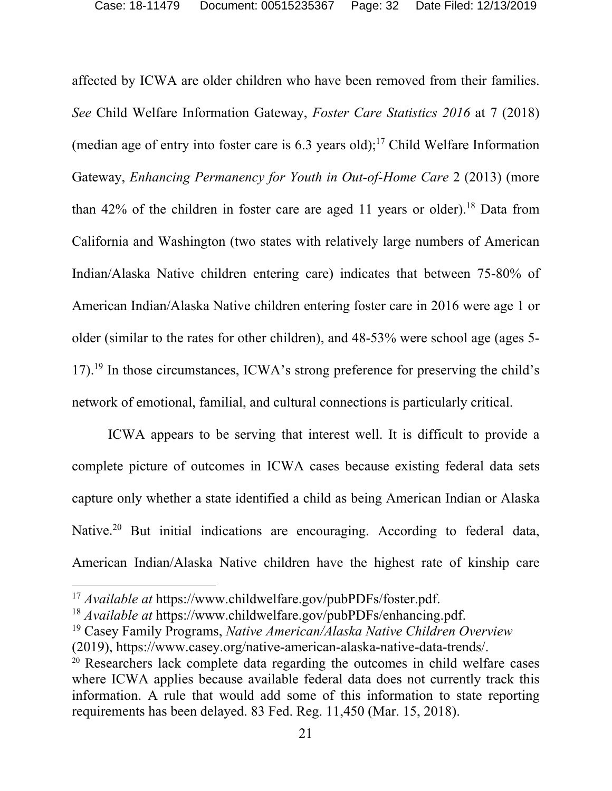affected by ICWA are older children who have been removed from their families. *See* Child Welfare Information Gateway, *Foster Care Statistics 2016* at 7 (2018) (median age of entry into foster care is  $6.3$  years old);<sup>17</sup> Child Welfare Information Gateway, *Enhancing Permanency for Youth in Out-of-Home Care* 2 (2013) (more than  $42\%$  of the children in foster care are aged 11 years or older).<sup>18</sup> Data from California and Washington (two states with relatively large numbers of American Indian/Alaska Native children entering care) indicates that between 75-80% of American Indian/Alaska Native children entering foster care in 2016 were age 1 or older (similar to the rates for other children), and 48-53% were school age (ages 5- 17).19 In those circumstances, ICWA's strong preference for preserving the child's network of emotional, familial, and cultural connections is particularly critical.

ICWA appears to be serving that interest well. It is difficult to provide a complete picture of outcomes in ICWA cases because existing federal data sets capture only whether a state identified a child as being American Indian or Alaska Native.<sup>20</sup> But initial indications are encouraging. According to federal data, American Indian/Alaska Native children have the highest rate of kinship care

<sup>&</sup>lt;sup>17</sup> Available at https://www.childwelfare.gov/pubPDFs/foster.pdf.

<sup>18</sup> *Available at* https://www.childwelfare.gov/pubPDFs/enhancing.pdf.

<sup>19</sup> Casey Family Programs, *Native American/Alaska Native Children Overview*

<sup>(2019),</sup> https://www.casey.org/native-american-alaska-native-data-trends/.

<sup>20</sup> Researchers lack complete data regarding the outcomes in child welfare cases where ICWA applies because available federal data does not currently track this information. A rule that would add some of this information to state reporting requirements has been delayed. 83 Fed. Reg. 11,450 (Mar. 15, 2018).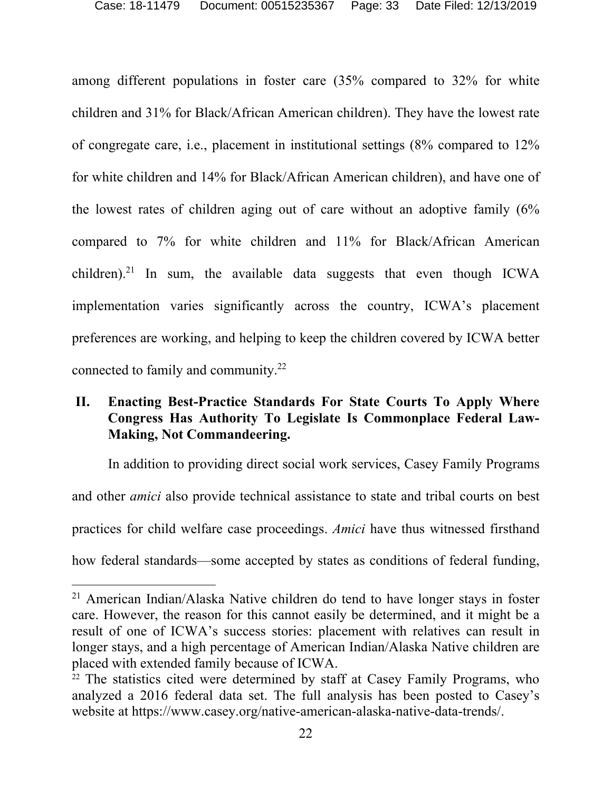among different populations in foster care (35% compared to 32% for white children and 31% for Black/African American children). They have the lowest rate of congregate care, i.e., placement in institutional settings (8% compared to 12% for white children and 14% for Black/African American children), and have one of the lowest rates of children aging out of care without an adoptive family (6% compared to 7% for white children and 11% for Black/African American children).<sup>21</sup> In sum, the available data suggests that even though ICWA implementation varies significantly across the country, ICWA's placement preferences are working, and helping to keep the children covered by ICWA better connected to family and community.22

# **II. Enacting Best-Practice Standards For State Courts To Apply Where Congress Has Authority To Legislate Is Commonplace Federal Law-Making, Not Commandeering.**

In addition to providing direct social work services, Casey Family Programs and other *amici* also provide technical assistance to state and tribal courts on best practices for child welfare case proceedings. *Amici* have thus witnessed firsthand how federal standards—some accepted by states as conditions of federal funding,

<sup>21</sup> American Indian/Alaska Native children do tend to have longer stays in foster care. However, the reason for this cannot easily be determined, and it might be a result of one of ICWA's success stories: placement with relatives can result in longer stays, and a high percentage of American Indian/Alaska Native children are placed with extended family because of ICWA.

<sup>&</sup>lt;sup>22</sup> The statistics cited were determined by staff at Casey Family Programs, who analyzed a 2016 federal data set. The full analysis has been posted to Casey's website at https://www.casey.org/native-american-alaska-native-data-trends/.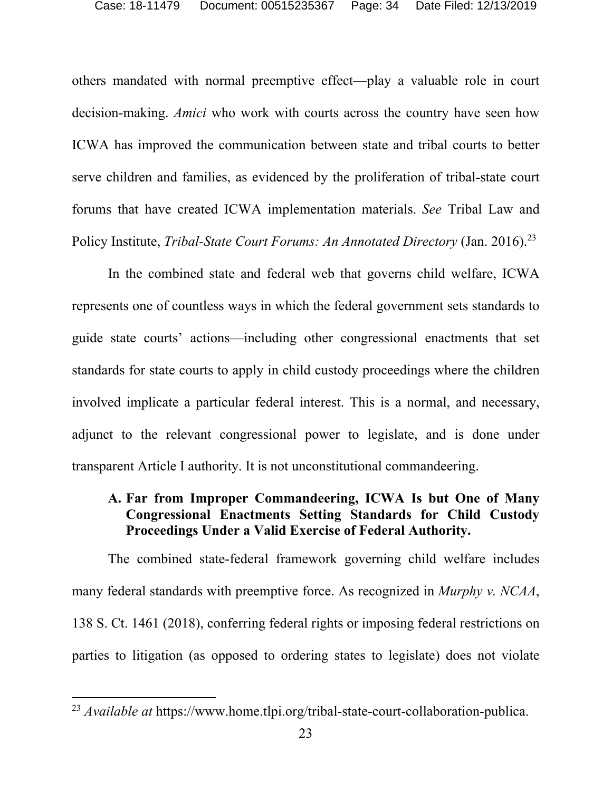others mandated with normal preemptive effect—play a valuable role in court decision-making. *Amici* who work with courts across the country have seen how ICWA has improved the communication between state and tribal courts to better serve children and families, as evidenced by the proliferation of tribal-state court forums that have created ICWA implementation materials. *See* Tribal Law and Policy Institute, *Tribal-State Court Forums: An Annotated Directory* (Jan. 2016).23

In the combined state and federal web that governs child welfare, ICWA represents one of countless ways in which the federal government sets standards to guide state courts' actions—including other congressional enactments that set standards for state courts to apply in child custody proceedings where the children involved implicate a particular federal interest. This is a normal, and necessary, adjunct to the relevant congressional power to legislate, and is done under transparent Article I authority. It is not unconstitutional commandeering.

# **A. Far from Improper Commandeering, ICWA Is but One of Many Congressional Enactments Setting Standards for Child Custody Proceedings Under a Valid Exercise of Federal Authority.**

The combined state-federal framework governing child welfare includes many federal standards with preemptive force. As recognized in *Murphy v. NCAA*, 138 S. Ct. 1461 (2018), conferring federal rights or imposing federal restrictions on parties to litigation (as opposed to ordering states to legislate) does not violate

<sup>&</sup>lt;sup>23</sup> *Available at* https://www.home.tlpi.org/tribal-state-court-collaboration-publica.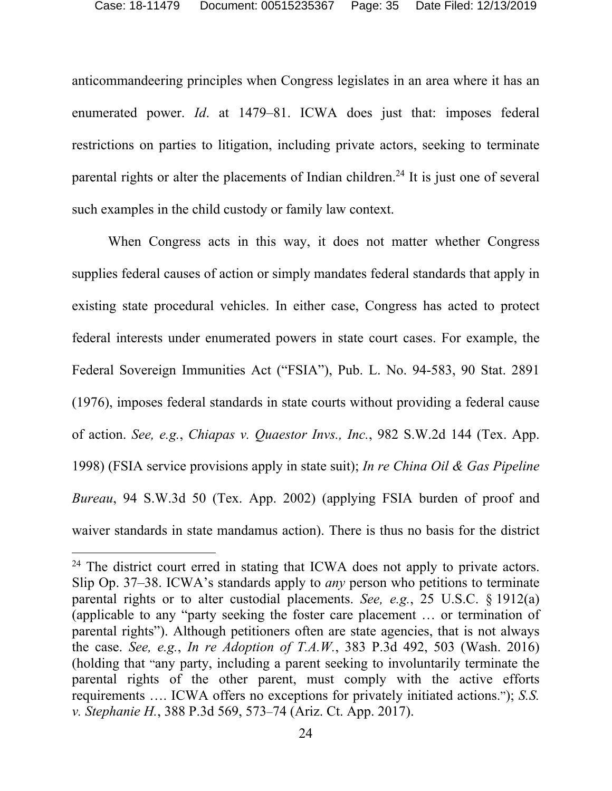anticommandeering principles when Congress legislates in an area where it has an enumerated power. *Id*. at 1479–81. ICWA does just that: imposes federal restrictions on parties to litigation, including private actors, seeking to terminate parental rights or alter the placements of Indian children.<sup>24</sup> It is just one of several such examples in the child custody or family law context.

When Congress acts in this way, it does not matter whether Congress supplies federal causes of action or simply mandates federal standards that apply in existing state procedural vehicles. In either case, Congress has acted to protect federal interests under enumerated powers in state court cases. For example, the Federal Sovereign Immunities Act ("FSIA"), Pub. L. No. 94-583, 90 Stat. 2891 (1976), imposes federal standards in state courts without providing a federal cause of action. *See, e.g.*, *Chiapas v. Quaestor Invs., Inc.*, 982 S.W.2d 144 (Tex. App. 1998) (FSIA service provisions apply in state suit); *In re China Oil & Gas Pipeline Bureau*, 94 S.W.3d 50 (Tex. App. 2002) (applying FSIA burden of proof and waiver standards in state mandamus action). There is thus no basis for the district

<sup>&</sup>lt;sup>24</sup> The district court erred in stating that ICWA does not apply to private actors. Slip Op. 37–38. ICWA's standards apply to *any* person who petitions to terminate parental rights or to alter custodial placements. *See, e.g.*, 25 U.S.C. § 1912(a) (applicable to any "party seeking the foster care placement … or termination of parental rights"). Although petitioners often are state agencies, that is not always the case. *See, e.g.*, *In re Adoption of T.A.W.*, 383 P.3d 492, 503 (Wash. 2016) (holding that "any party, including a parent seeking to involuntarily terminate the parental rights of the other parent, must comply with the active efforts requirements …. ICWA offers no exceptions for privately initiated actions."); *S.S. v. Stephanie H.*, 388 P.3d 569, 573–74 (Ariz. Ct. App. 2017).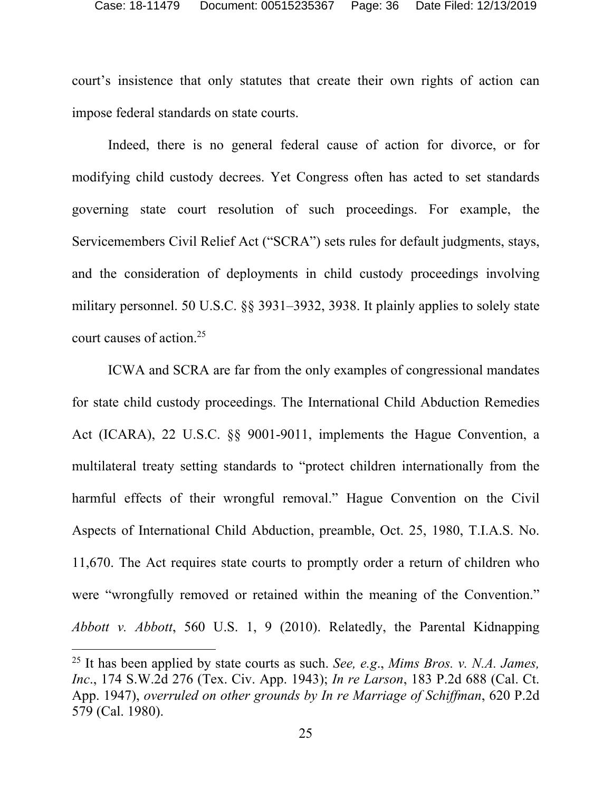court's insistence that only statutes that create their own rights of action can impose federal standards on state courts.

Indeed, there is no general federal cause of action for divorce, or for modifying child custody decrees. Yet Congress often has acted to set standards governing state court resolution of such proceedings. For example, the Servicemembers Civil Relief Act ("SCRA") sets rules for default judgments, stays, and the consideration of deployments in child custody proceedings involving military personnel. 50 U.S.C. §§ 3931–3932, 3938. It plainly applies to solely state court causes of action.25

ICWA and SCRA are far from the only examples of congressional mandates for state child custody proceedings. The International Child Abduction Remedies Act (ICARA), 22 U.S.C. §§ 9001-9011, implements the Hague Convention, a multilateral treaty setting standards to "protect children internationally from the harmful effects of their wrongful removal." Hague Convention on the Civil Aspects of International Child Abduction, preamble, Oct. 25, 1980, T.I.A.S. No. 11,670. The Act requires state courts to promptly order a return of children who were "wrongfully removed or retained within the meaning of the Convention." *Abbott v. Abbott*, 560 U.S. 1, 9 (2010). Relatedly, the Parental Kidnapping

<sup>25</sup> It has been applied by state courts as such. *See, e.g*., *Mims Bros. v. N.A. James, Inc*., 174 S.W.2d 276 (Tex. Civ. App. 1943); *In re Larson*, 183 P.2d 688 (Cal. Ct. App. 1947), *overruled on other grounds by In re Marriage of Schiffman*, 620 P.2d 579 (Cal. 1980).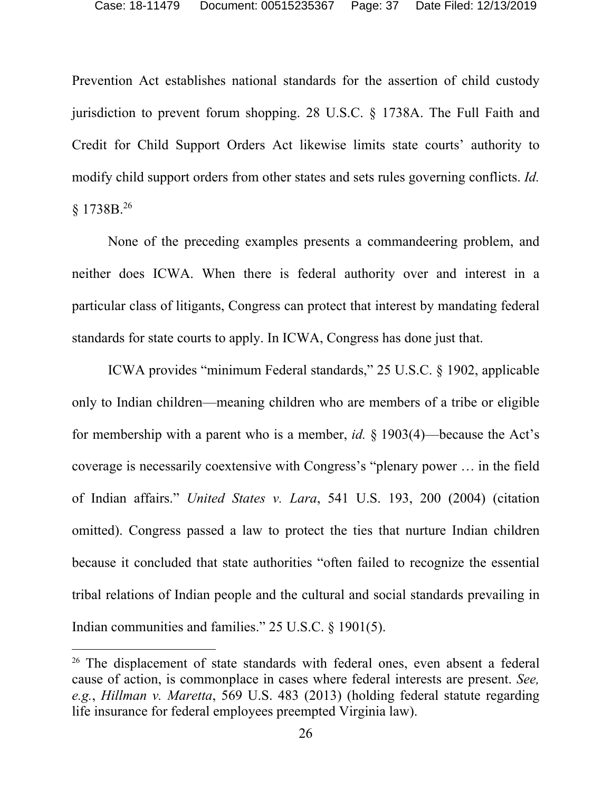Prevention Act establishes national standards for the assertion of child custody jurisdiction to prevent forum shopping. 28 U.S.C. § 1738A. The Full Faith and Credit for Child Support Orders Act likewise limits state courts' authority to modify child support orders from other states and sets rules governing conflicts. *Id.* § 1738B.26

None of the preceding examples presents a commandeering problem, and neither does ICWA. When there is federal authority over and interest in a particular class of litigants, Congress can protect that interest by mandating federal standards for state courts to apply. In ICWA, Congress has done just that.

ICWA provides "minimum Federal standards," 25 U.S.C. § 1902, applicable only to Indian children—meaning children who are members of a tribe or eligible for membership with a parent who is a member, *id.* § 1903(4)—because the Act's coverage is necessarily coextensive with Congress's "plenary power … in the field of Indian affairs." *United States v. Lara*, 541 U.S. 193, 200 (2004) (citation omitted). Congress passed a law to protect the ties that nurture Indian children because it concluded that state authorities "often failed to recognize the essential tribal relations of Indian people and the cultural and social standards prevailing in Indian communities and families." 25 U.S.C. § 1901(5).

<sup>&</sup>lt;sup>26</sup> The displacement of state standards with federal ones, even absent a federal cause of action, is commonplace in cases where federal interests are present. *See, e.g.*, *Hillman v. Maretta*, 569 U.S. 483 (2013) (holding federal statute regarding life insurance for federal employees preempted Virginia law).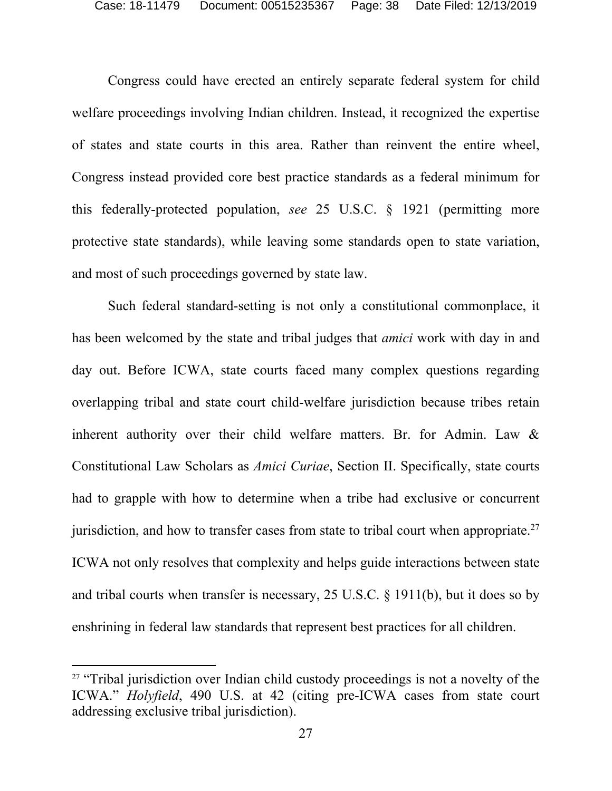Congress could have erected an entirely separate federal system for child welfare proceedings involving Indian children. Instead, it recognized the expertise of states and state courts in this area. Rather than reinvent the entire wheel, Congress instead provided core best practice standards as a federal minimum for this federally-protected population, *see* 25 U.S.C. § 1921 (permitting more protective state standards), while leaving some standards open to state variation, and most of such proceedings governed by state law.

Such federal standard-setting is not only a constitutional commonplace, it has been welcomed by the state and tribal judges that *amici* work with day in and day out. Before ICWA, state courts faced many complex questions regarding overlapping tribal and state court child-welfare jurisdiction because tribes retain inherent authority over their child welfare matters. Br. for Admin. Law & Constitutional Law Scholars as *Amici Curiae*, Section II. Specifically, state courts had to grapple with how to determine when a tribe had exclusive or concurrent jurisdiction, and how to transfer cases from state to tribal court when appropriate.<sup>27</sup> ICWA not only resolves that complexity and helps guide interactions between state and tribal courts when transfer is necessary, 25 U.S.C. § 1911(b), but it does so by enshrining in federal law standards that represent best practices for all children.

<sup>&</sup>lt;sup>27</sup> "Tribal jurisdiction over Indian child custody proceedings is not a novelty of the ICWA." *Holyfield*, 490 U.S. at 42 (citing pre-ICWA cases from state court addressing exclusive tribal jurisdiction).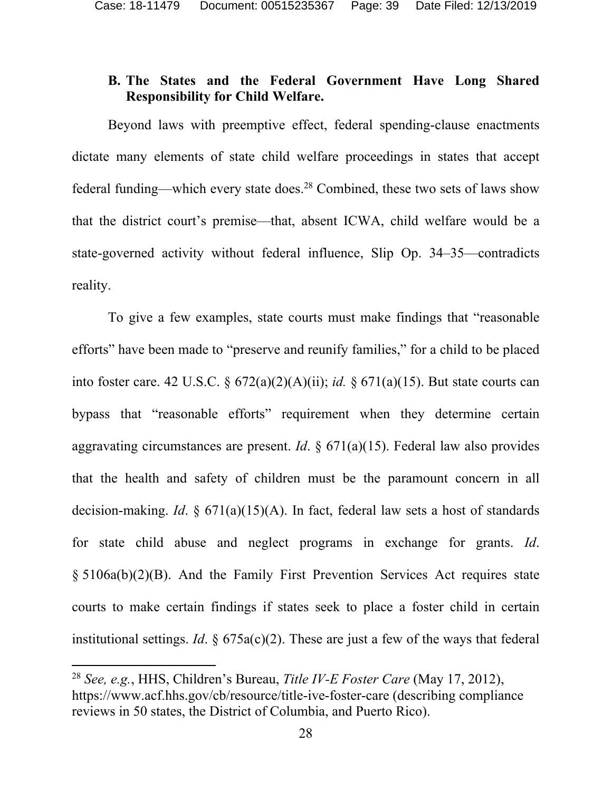# **B. The States and the Federal Government Have Long Shared Responsibility for Child Welfare.**

Beyond laws with preemptive effect, federal spending-clause enactments dictate many elements of state child welfare proceedings in states that accept federal funding—which every state does.<sup>28</sup> Combined, these two sets of laws show that the district court's premise—that, absent ICWA, child welfare would be a state-governed activity without federal influence, Slip Op. 34–35—contradicts reality.

To give a few examples, state courts must make findings that "reasonable efforts" have been made to "preserve and reunify families," for a child to be placed into foster care. 42 U.S.C. § 672(a)(2)(A)(ii); *id.* § 671(a)(15). But state courts can bypass that "reasonable efforts" requirement when they determine certain aggravating circumstances are present. *Id*. § 671(a)(15). Federal law also provides that the health and safety of children must be the paramount concern in all decision-making. *Id*. § 671(a)(15)(A). In fact, federal law sets a host of standards for state child abuse and neglect programs in exchange for grants. *Id*. § 5106a(b)(2)(B). And the Family First Prevention Services Act requires state courts to make certain findings if states seek to place a foster child in certain institutional settings. *Id.*  $\S$  675a(c)(2). These are just a few of the ways that federal

<sup>28</sup> *See, e.g.*, HHS, Children's Bureau, *Title IV-E Foster Care* (May 17, 2012), https://www.acf.hhs.gov/cb/resource/title-ive-foster-care (describing compliance reviews in 50 states, the District of Columbia, and Puerto Rico).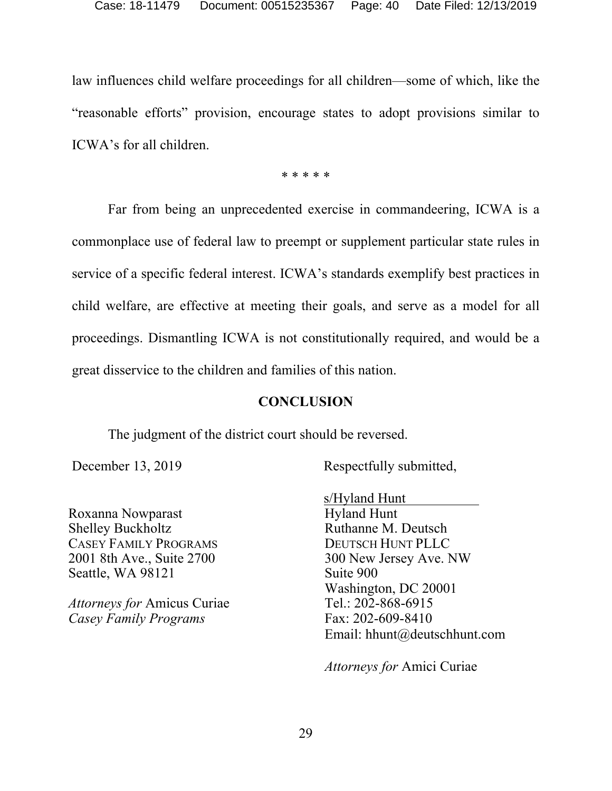law influences child welfare proceedings for all children—some of which, like the "reasonable efforts" provision, encourage states to adopt provisions similar to ICWA's for all children.

\* \* \* \* \*

Far from being an unprecedented exercise in commandeering, ICWA is a commonplace use of federal law to preempt or supplement particular state rules in service of a specific federal interest. ICWA's standards exemplify best practices in child welfare, are effective at meeting their goals, and serve as a model for all proceedings. Dismantling ICWA is not constitutionally required, and would be a great disservice to the children and families of this nation.

#### **CONCLUSION**

The judgment of the district court should be reversed.

December 13, 2019 Respectfully submitted,

Roxanna Nowparast Shelley Buckholtz CASEY FAMILY PROGRAMS 2001 8th Ave., Suite 2700 Seattle, WA 98121

*Attorneys for* Amicus Curiae *Casey Family Programs* 

 s/Hyland Hunt Hyland Hunt Ruthanne M. Deutsch DEUTSCH HUNT PLLC 300 New Jersey Ave. NW Suite 900 Washington, DC 20001 Tel.: 202-868-6915 Fax: 202-609-8410 Email: hhunt@deutschhunt.com

*Attorneys for* Amici Curiae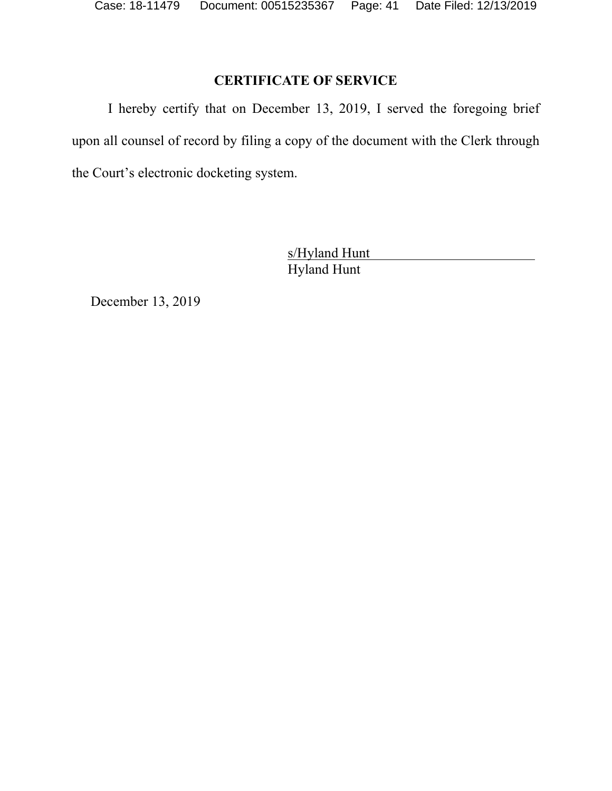# **CERTIFICATE OF SERVICE**

I hereby certify that on December 13, 2019, I served the foregoing brief upon all counsel of record by filing a copy of the document with the Clerk through the Court's electronic docketing system.

> s/Hyland Hunt Hyland Hunt

December 13, 2019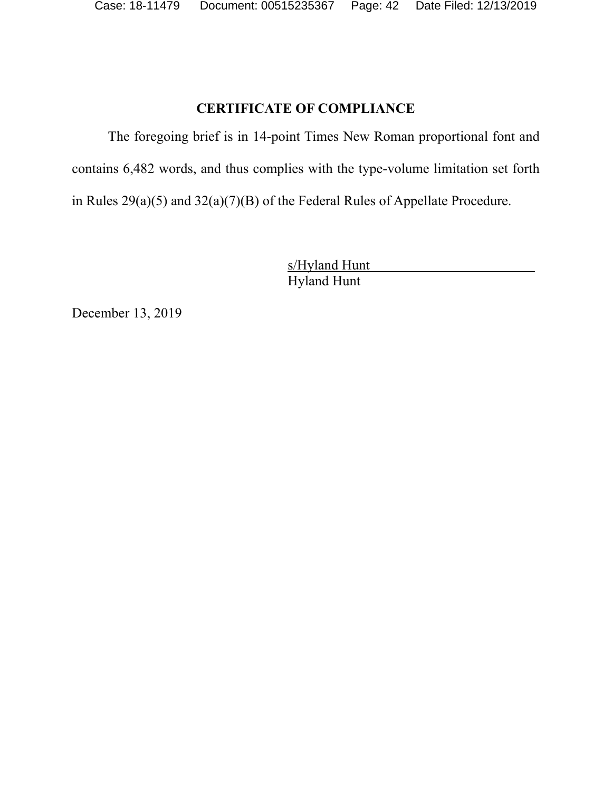# **CERTIFICATE OF COMPLIANCE**

The foregoing brief is in 14-point Times New Roman proportional font and contains 6,482 words, and thus complies with the type-volume limitation set forth in Rules 29(a)(5) and 32(a)(7)(B) of the Federal Rules of Appellate Procedure.

> s/Hyland Hunt Hyland Hunt

December 13, 2019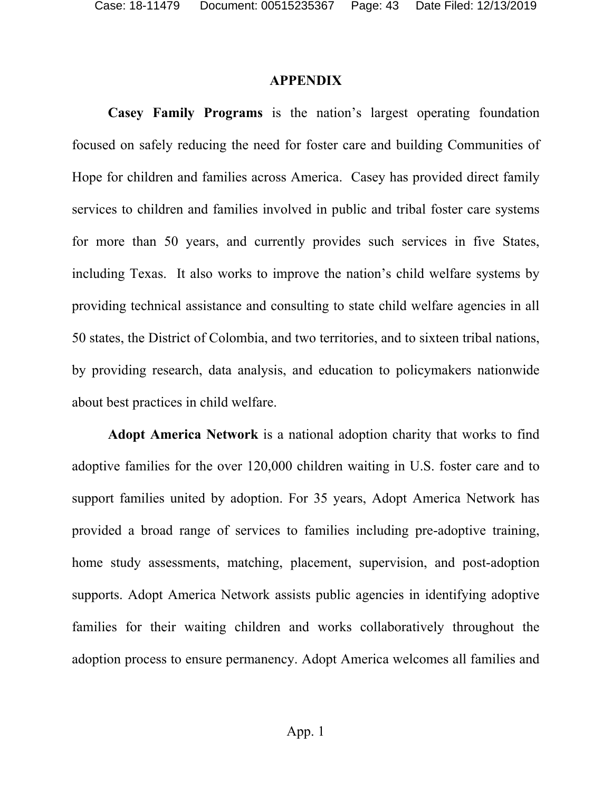#### **APPENDIX**

**Casey Family Programs** is the nation's largest operating foundation focused on safely reducing the need for foster care and building Communities of Hope for children and families across America. Casey has provided direct family services to children and families involved in public and tribal foster care systems for more than 50 years, and currently provides such services in five States, including Texas. It also works to improve the nation's child welfare systems by providing technical assistance and consulting to state child welfare agencies in all 50 states, the District of Colombia, and two territories, and to sixteen tribal nations, by providing research, data analysis, and education to policymakers nationwide about best practices in child welfare.

**Adopt America Network** is a national adoption charity that works to find adoptive families for the over 120,000 children waiting in U.S. foster care and to support families united by adoption. For 35 years, Adopt America Network has provided a broad range of services to families including pre-adoptive training, home study assessments, matching, placement, supervision, and post-adoption supports. Adopt America Network assists public agencies in identifying adoptive families for their waiting children and works collaboratively throughout the adoption process to ensure permanency. Adopt America welcomes all families and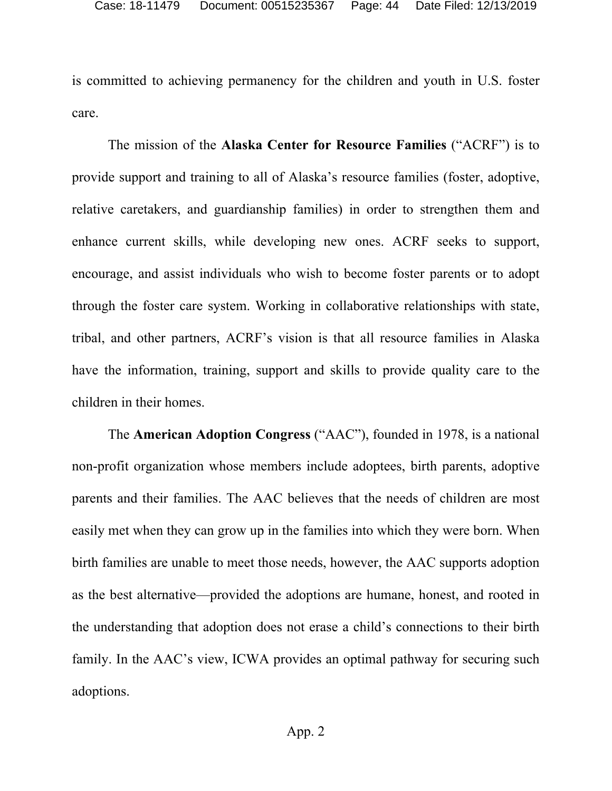is committed to achieving permanency for the children and youth in U.S. foster care.

The mission of the **Alaska Center for Resource Families** ("ACRF") is to provide support and training to all of Alaska's resource families (foster, adoptive, relative caretakers, and guardianship families) in order to strengthen them and enhance current skills, while developing new ones. ACRF seeks to support, encourage, and assist individuals who wish to become foster parents or to adopt through the foster care system. Working in collaborative relationships with state, tribal, and other partners, ACRF's vision is that all resource families in Alaska have the information, training, support and skills to provide quality care to the children in their homes.

The **American Adoption Congress** ("AAC"), founded in 1978, is a national non-profit organization whose members include adoptees, birth parents, adoptive parents and their families. The AAC believes that the needs of children are most easily met when they can grow up in the families into which they were born. When birth families are unable to meet those needs, however, the AAC supports adoption as the best alternative—provided the adoptions are humane, honest, and rooted in the understanding that adoption does not erase a child's connections to their birth family. In the AAC's view, ICWA provides an optimal pathway for securing such adoptions.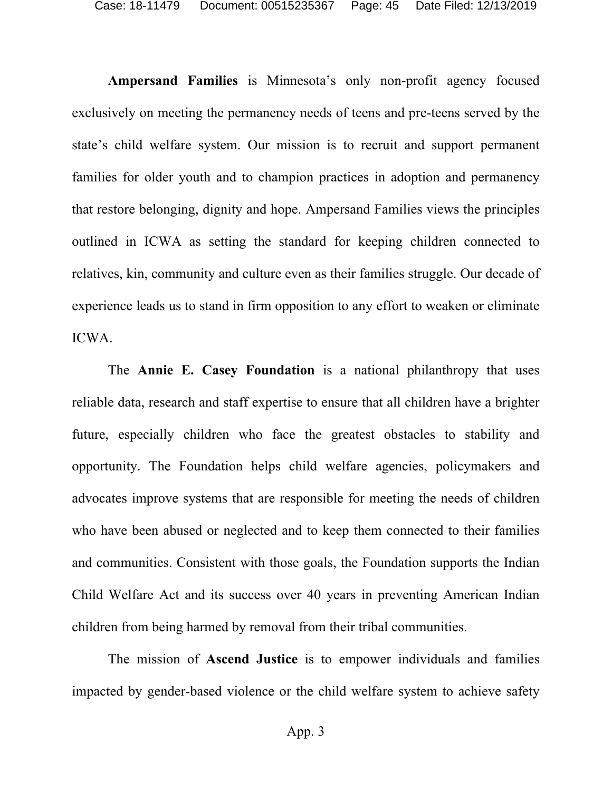**Ampersand Families** is Minnesota's only non-profit agency focused exclusively on meeting the permanency needs of teens and pre-teens served by the state's child welfare system. Our mission is to recruit and support permanent families for older youth and to champion practices in adoption and permanency that restore belonging, dignity and hope. Ampersand Families views the principles outlined in ICWA as setting the standard for keeping children connected to relatives, kin, community and culture even as their families struggle. Our decade of experience leads us to stand in firm opposition to any effort to weaken or eliminate ICWA.

The **Annie E. Casey Foundation** is a national philanthropy that uses reliable data, research and staff expertise to ensure that all children have a brighter future, especially children who face the greatest obstacles to stability and opportunity. The Foundation helps child welfare agencies, policymakers and advocates improve systems that are responsible for meeting the needs of children who have been abused or neglected and to keep them connected to their families and communities. Consistent with those goals, the Foundation supports the Indian Child Welfare Act and its success over 40 years in preventing American Indian children from being harmed by removal from their tribal communities.

The mission of **Ascend Justice** is to empower individuals and families impacted by gender-based violence or the child welfare system to achieve safety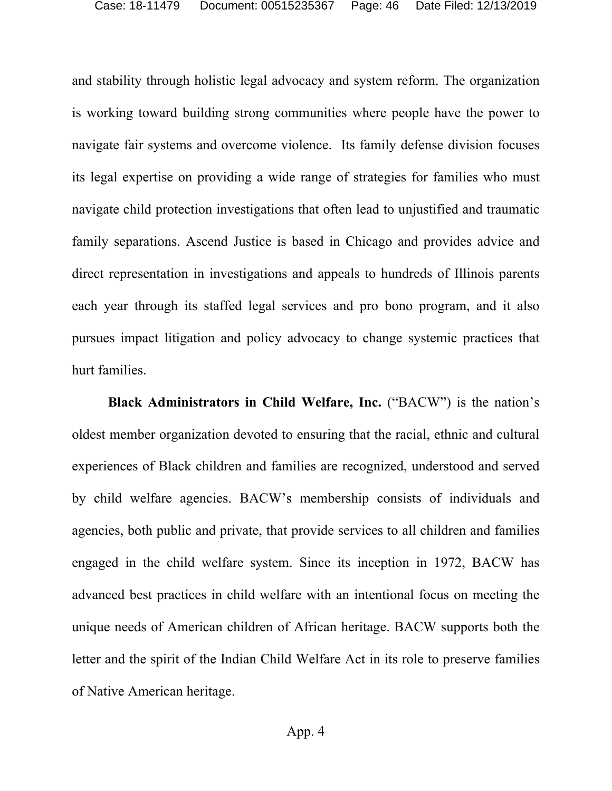and stability through holistic legal advocacy and system reform. The organization is working toward building strong communities where people have the power to navigate fair systems and overcome violence. Its family defense division focuses its legal expertise on providing a wide range of strategies for families who must navigate child protection investigations that often lead to unjustified and traumatic family separations. Ascend Justice is based in Chicago and provides advice and direct representation in investigations and appeals to hundreds of Illinois parents each year through its staffed legal services and pro bono program, and it also pursues impact litigation and policy advocacy to change systemic practices that hurt families.

**Black Administrators in Child Welfare, Inc.** ("BACW") is the nation's oldest member organization devoted to ensuring that the racial, ethnic and cultural experiences of Black children and families are recognized, understood and served by child welfare agencies. BACW's membership consists of individuals and agencies, both public and private, that provide services to all children and families engaged in the child welfare system. Since its inception in 1972, BACW has advanced best practices in child welfare with an intentional focus on meeting the unique needs of American children of African heritage. BACW supports both the letter and the spirit of the Indian Child Welfare Act in its role to preserve families of Native American heritage.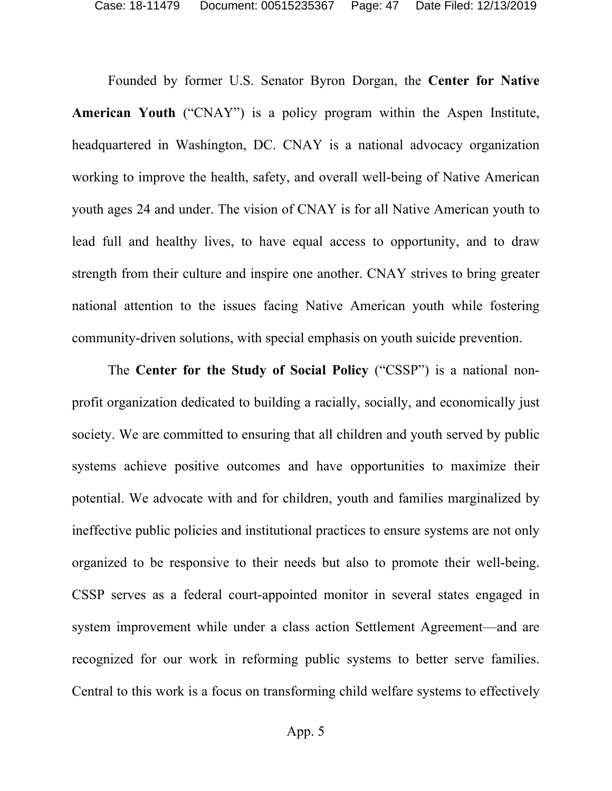Founded by former U.S. Senator Byron Dorgan, the **Center for Native American Youth** ("CNAY") is a policy program within the Aspen Institute, headquartered in Washington, DC. CNAY is a national advocacy organization working to improve the health, safety, and overall well-being of Native American youth ages 24 and under. The vision of CNAY is for all Native American youth to lead full and healthy lives, to have equal access to opportunity, and to draw strength from their culture and inspire one another. CNAY strives to bring greater national attention to the issues facing Native American youth while fostering community-driven solutions, with special emphasis on youth suicide prevention.

The **Center for the Study of Social Policy** ("CSSP") is a national nonprofit organization dedicated to building a racially, socially, and economically just society. We are committed to ensuring that all children and youth served by public systems achieve positive outcomes and have opportunities to maximize their potential. We advocate with and for children, youth and families marginalized by ineffective public policies and institutional practices to ensure systems are not only organized to be responsive to their needs but also to promote their well-being. CSSP serves as a federal court-appointed monitor in several states engaged in system improvement while under a class action Settlement Agreement—and are recognized for our work in reforming public systems to better serve families. Central to this work is a focus on transforming child welfare systems to effectively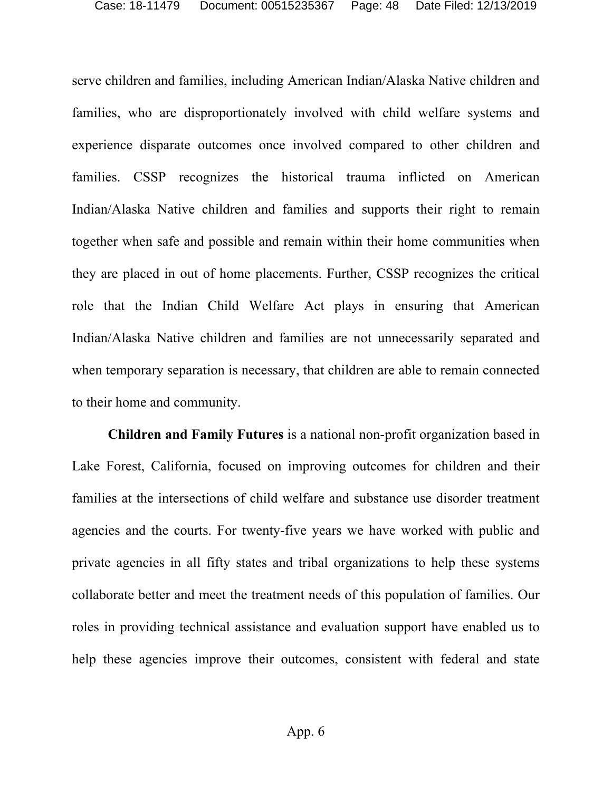serve children and families, including American Indian/Alaska Native children and families, who are disproportionately involved with child welfare systems and experience disparate outcomes once involved compared to other children and families. CSSP recognizes the historical trauma inflicted on American Indian/Alaska Native children and families and supports their right to remain together when safe and possible and remain within their home communities when they are placed in out of home placements. Further, CSSP recognizes the critical role that the Indian Child Welfare Act plays in ensuring that American Indian/Alaska Native children and families are not unnecessarily separated and when temporary separation is necessary, that children are able to remain connected to their home and community.

**Children and Family Futures** is a national non-profit organization based in Lake Forest, California, focused on improving outcomes for children and their families at the intersections of child welfare and substance use disorder treatment agencies and the courts. For twenty-five years we have worked with public and private agencies in all fifty states and tribal organizations to help these systems collaborate better and meet the treatment needs of this population of families. Our roles in providing technical assistance and evaluation support have enabled us to help these agencies improve their outcomes, consistent with federal and state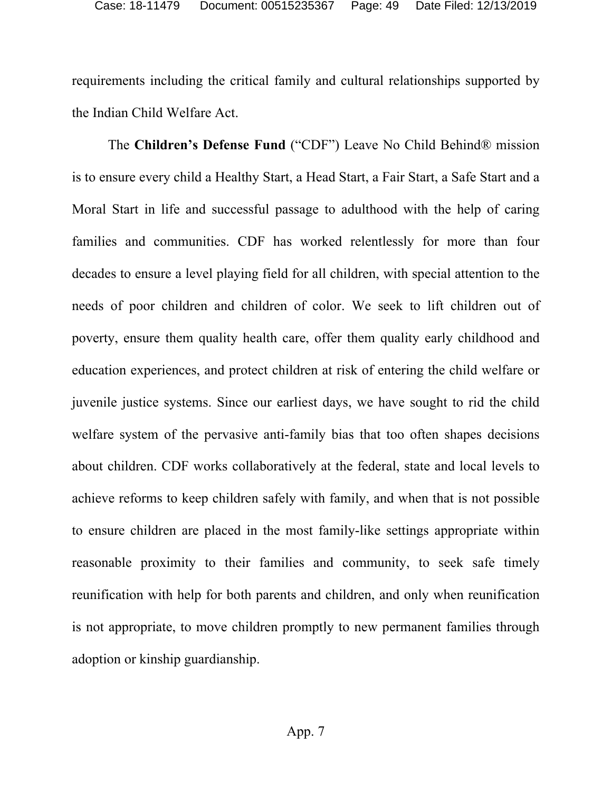requirements including the critical family and cultural relationships supported by the Indian Child Welfare Act.

The **Children's Defense Fund** ("CDF") Leave No Child Behind® mission is to ensure every child a Healthy Start, a Head Start, a Fair Start, a Safe Start and a Moral Start in life and successful passage to adulthood with the help of caring families and communities. CDF has worked relentlessly for more than four decades to ensure a level playing field for all children, with special attention to the needs of poor children and children of color. We seek to lift children out of poverty, ensure them quality health care, offer them quality early childhood and education experiences, and protect children at risk of entering the child welfare or juvenile justice systems. Since our earliest days, we have sought to rid the child welfare system of the pervasive anti-family bias that too often shapes decisions about children. CDF works collaboratively at the federal, state and local levels to achieve reforms to keep children safely with family, and when that is not possible to ensure children are placed in the most family-like settings appropriate within reasonable proximity to their families and community, to seek safe timely reunification with help for both parents and children, and only when reunification is not appropriate, to move children promptly to new permanent families through adoption or kinship guardianship.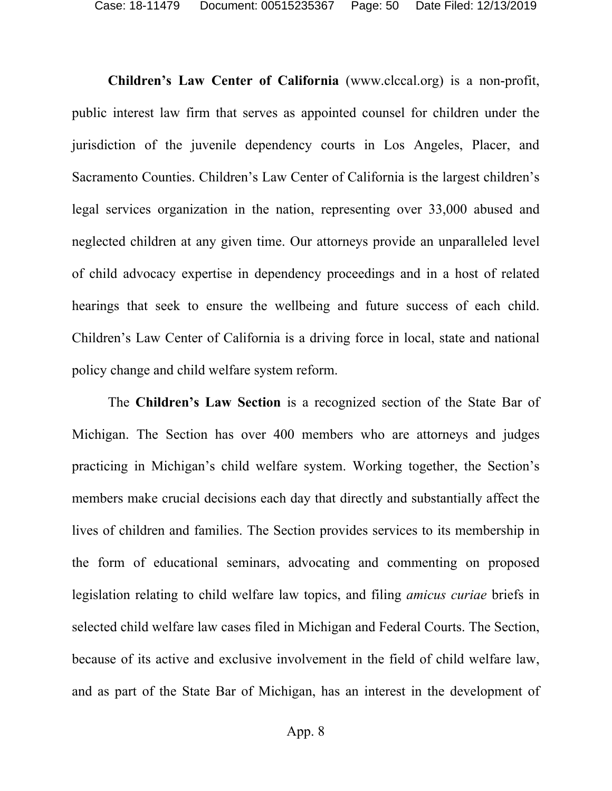**Children's Law Center of California** (www.clccal.org) is a non-profit, public interest law firm that serves as appointed counsel for children under the jurisdiction of the juvenile dependency courts in Los Angeles, Placer, and Sacramento Counties. Children's Law Center of California is the largest children's legal services organization in the nation, representing over 33,000 abused and neglected children at any given time. Our attorneys provide an unparalleled level of child advocacy expertise in dependency proceedings and in a host of related hearings that seek to ensure the wellbeing and future success of each child. Children's Law Center of California is a driving force in local, state and national policy change and child welfare system reform.

The **Children's Law Section** is a recognized section of the State Bar of Michigan. The Section has over 400 members who are attorneys and judges practicing in Michigan's child welfare system. Working together, the Section's members make crucial decisions each day that directly and substantially affect the lives of children and families. The Section provides services to its membership in the form of educational seminars, advocating and commenting on proposed legislation relating to child welfare law topics, and filing *amicus curiae* briefs in selected child welfare law cases filed in Michigan and Federal Courts. The Section, because of its active and exclusive involvement in the field of child welfare law, and as part of the State Bar of Michigan, has an interest in the development of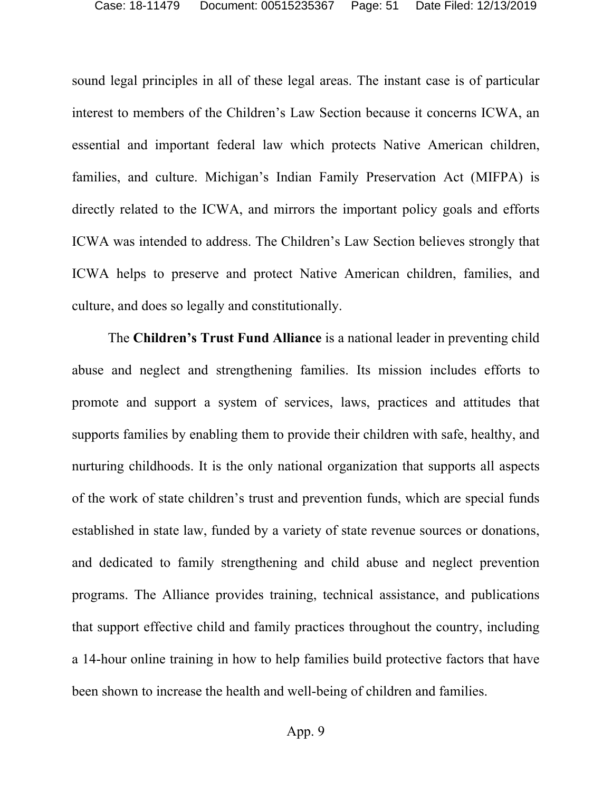sound legal principles in all of these legal areas. The instant case is of particular interest to members of the Children's Law Section because it concerns ICWA, an essential and important federal law which protects Native American children, families, and culture. Michigan's Indian Family Preservation Act (MIFPA) is directly related to the ICWA, and mirrors the important policy goals and efforts ICWA was intended to address. The Children's Law Section believes strongly that ICWA helps to preserve and protect Native American children, families, and culture, and does so legally and constitutionally.

The **Children's Trust Fund Alliance** is a national leader in preventing child abuse and neglect and strengthening families. Its mission includes efforts to promote and support a system of services, laws, practices and attitudes that supports families by enabling them to provide their children with safe, healthy, and nurturing childhoods. It is the only national organization that supports all aspects of the work of state children's trust and prevention funds, which are special funds established in state law, funded by a variety of state revenue sources or donations, and dedicated to family strengthening and child abuse and neglect prevention programs. The Alliance provides training, technical assistance, and publications that support effective child and family practices throughout the country, including a 14-hour online training in how to help families build protective factors that have been shown to increase the health and well-being of children and families.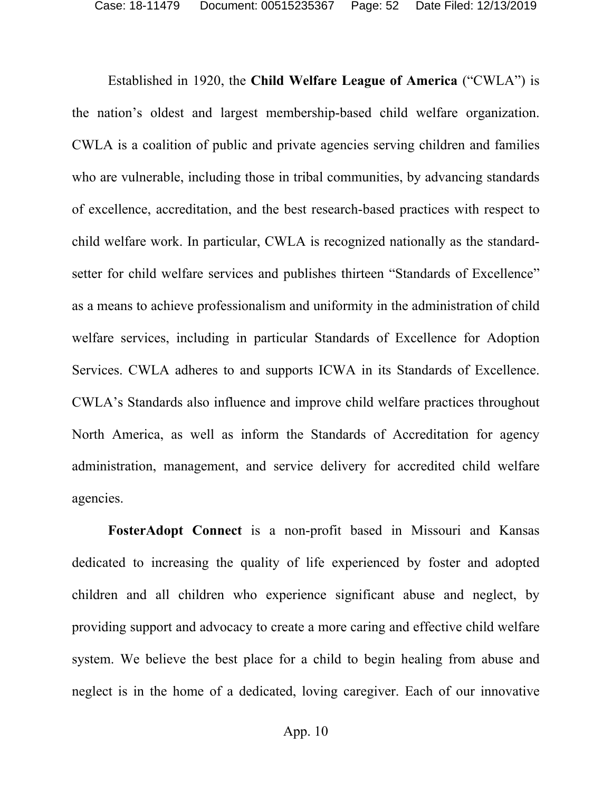Established in 1920, the **Child Welfare League of America** ("CWLA") is the nation's oldest and largest membership-based child welfare organization. CWLA is a coalition of public and private agencies serving children and families who are vulnerable, including those in tribal communities, by advancing standards of excellence, accreditation, and the best research-based practices with respect to child welfare work. In particular, CWLA is recognized nationally as the standardsetter for child welfare services and publishes thirteen "Standards of Excellence" as a means to achieve professionalism and uniformity in the administration of child welfare services, including in particular Standards of Excellence for Adoption Services. CWLA adheres to and supports ICWA in its Standards of Excellence. CWLA's Standards also influence and improve child welfare practices throughout North America, as well as inform the Standards of Accreditation for agency administration, management, and service delivery for accredited child welfare agencies.

**FosterAdopt Connect** is a non-profit based in Missouri and Kansas dedicated to increasing the quality of life experienced by foster and adopted children and all children who experience significant abuse and neglect, by providing support and advocacy to create a more caring and effective child welfare system. We believe the best place for a child to begin healing from abuse and neglect is in the home of a dedicated, loving caregiver. Each of our innovative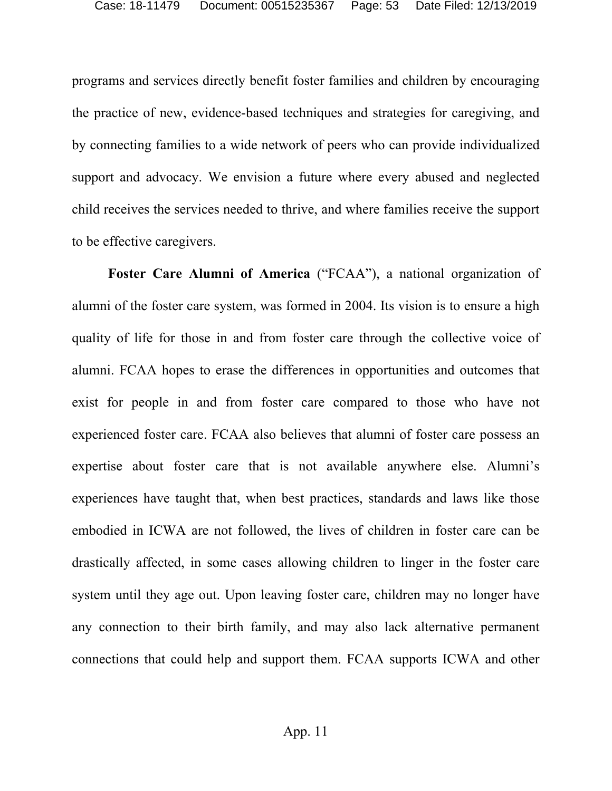programs and services directly benefit foster families and children by encouraging the practice of new, evidence-based techniques and strategies for caregiving, and by connecting families to a wide network of peers who can provide individualized support and advocacy. We envision a future where every abused and neglected child receives the services needed to thrive, and where families receive the support to be effective caregivers.

**Foster Care Alumni of America** ("FCAA"), a national organization of alumni of the foster care system, was formed in 2004. Its vision is to ensure a high quality of life for those in and from foster care through the collective voice of alumni. FCAA hopes to erase the differences in opportunities and outcomes that exist for people in and from foster care compared to those who have not experienced foster care. FCAA also believes that alumni of foster care possess an expertise about foster care that is not available anywhere else. Alumni's experiences have taught that, when best practices, standards and laws like those embodied in ICWA are not followed, the lives of children in foster care can be drastically affected, in some cases allowing children to linger in the foster care system until they age out. Upon leaving foster care, children may no longer have any connection to their birth family, and may also lack alternative permanent connections that could help and support them. FCAA supports ICWA and other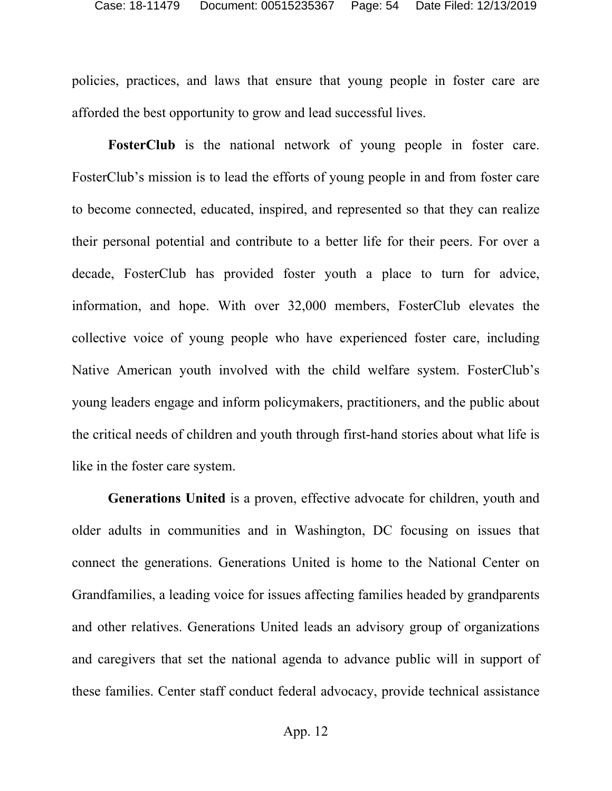policies, practices, and laws that ensure that young people in foster care are afforded the best opportunity to grow and lead successful lives.

**FosterClub** is the national network of young people in foster care. FosterClub's mission is to lead the efforts of young people in and from foster care to become connected, educated, inspired, and represented so that they can realize their personal potential and contribute to a better life for their peers. For over a decade, FosterClub has provided foster youth a place to turn for advice, information, and hope. With over 32,000 members, FosterClub elevates the collective voice of young people who have experienced foster care, including Native American youth involved with the child welfare system. FosterClub's young leaders engage and inform policymakers, practitioners, and the public about the critical needs of children and youth through first-hand stories about what life is like in the foster care system.

**Generations United** is a proven, effective advocate for children, youth and older adults in communities and in Washington, DC focusing on issues that connect the generations. Generations United is home to the National Center on Grandfamilies, a leading voice for issues affecting families headed by grandparents and other relatives. Generations United leads an advisory group of organizations and caregivers that set the national agenda to advance public will in support of these families. Center staff conduct federal advocacy, provide technical assistance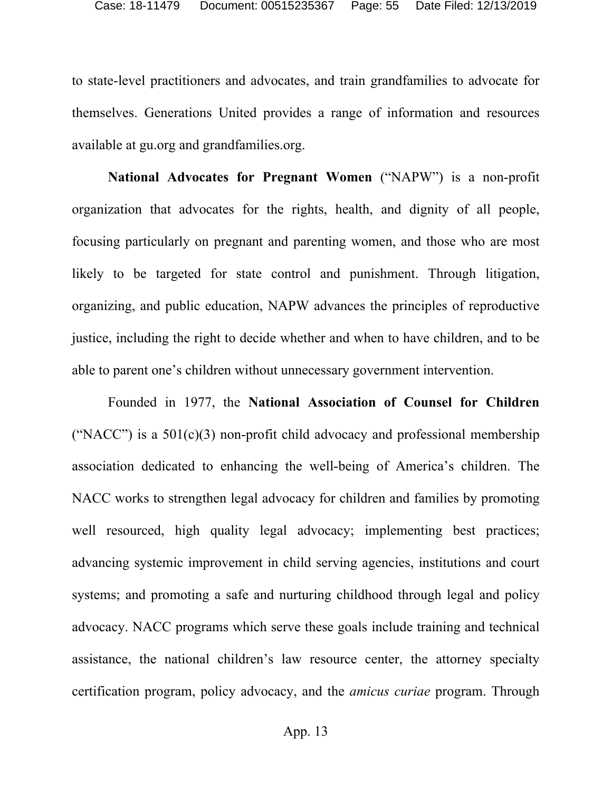to state-level practitioners and advocates, and train grandfamilies to advocate for themselves. Generations United provides a range of information and resources available at gu.org and grandfamilies.org.

**National Advocates for Pregnant Women** ("NAPW") is a non-profit organization that advocates for the rights, health, and dignity of all people, focusing particularly on pregnant and parenting women, and those who are most likely to be targeted for state control and punishment. Through litigation, organizing, and public education, NAPW advances the principles of reproductive justice, including the right to decide whether and when to have children, and to be able to parent one's children without unnecessary government intervention.

Founded in 1977, the **National Association of Counsel for Children** ("NACC") is a  $501(c)(3)$  non-profit child advocacy and professional membership association dedicated to enhancing the well-being of America's children. The NACC works to strengthen legal advocacy for children and families by promoting well resourced, high quality legal advocacy; implementing best practices; advancing systemic improvement in child serving agencies, institutions and court systems; and promoting a safe and nurturing childhood through legal and policy advocacy. NACC programs which serve these goals include training and technical assistance, the national children's law resource center, the attorney specialty certification program, policy advocacy, and the *amicus curiae* program. Through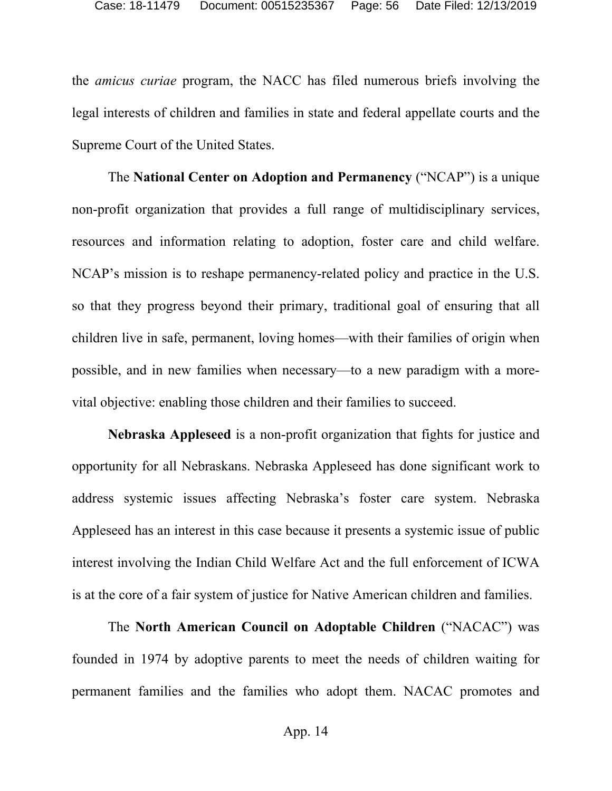the *amicus curiae* program, the NACC has filed numerous briefs involving the legal interests of children and families in state and federal appellate courts and the Supreme Court of the United States.

The **National Center on Adoption and Permanency** ("NCAP") is a unique non-profit organization that provides a full range of multidisciplinary services, resources and information relating to adoption, foster care and child welfare. NCAP's mission is to reshape permanency-related policy and practice in the U.S. so that they progress beyond their primary, traditional goal of ensuring that all children live in safe, permanent, loving homes—with their families of origin when possible, and in new families when necessary—to a new paradigm with a morevital objective: enabling those children and their families to succeed.

**Nebraska Appleseed** is a non-profit organization that fights for justice and opportunity for all Nebraskans. Nebraska Appleseed has done significant work to address systemic issues affecting Nebraska's foster care system. Nebraska Appleseed has an interest in this case because it presents a systemic issue of public interest involving the Indian Child Welfare Act and the full enforcement of ICWA is at the core of a fair system of justice for Native American children and families.

The **North American Council on Adoptable Children** ("NACAC") was founded in 1974 by adoptive parents to meet the needs of children waiting for permanent families and the families who adopt them. NACAC promotes and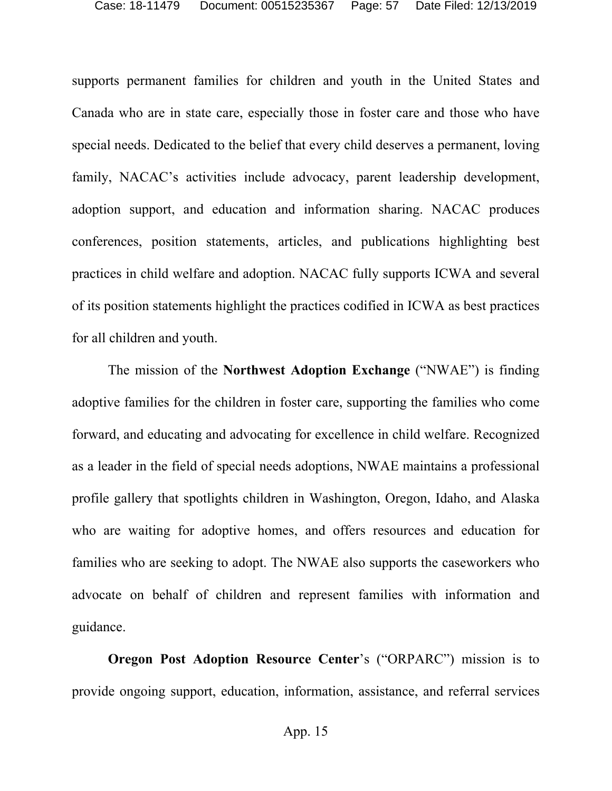supports permanent families for children and youth in the United States and Canada who are in state care, especially those in foster care and those who have special needs. Dedicated to the belief that every child deserves a permanent, loving family, NACAC's activities include advocacy, parent leadership development, adoption support, and education and information sharing. NACAC produces conferences, position statements, articles, and publications highlighting best practices in child welfare and adoption. NACAC fully supports ICWA and several of its position statements highlight the practices codified in ICWA as best practices for all children and youth.

The mission of the **Northwest Adoption Exchange** ("NWAE") is finding adoptive families for the children in foster care, supporting the families who come forward, and educating and advocating for excellence in child welfare. Recognized as a leader in the field of special needs adoptions, NWAE maintains a professional profile gallery that spotlights children in Washington, Oregon, Idaho, and Alaska who are waiting for adoptive homes, and offers resources and education for families who are seeking to adopt. The NWAE also supports the caseworkers who advocate on behalf of children and represent families with information and guidance.

**Oregon Post Adoption Resource Center**'s ("ORPARC") mission is to provide ongoing support, education, information, assistance, and referral services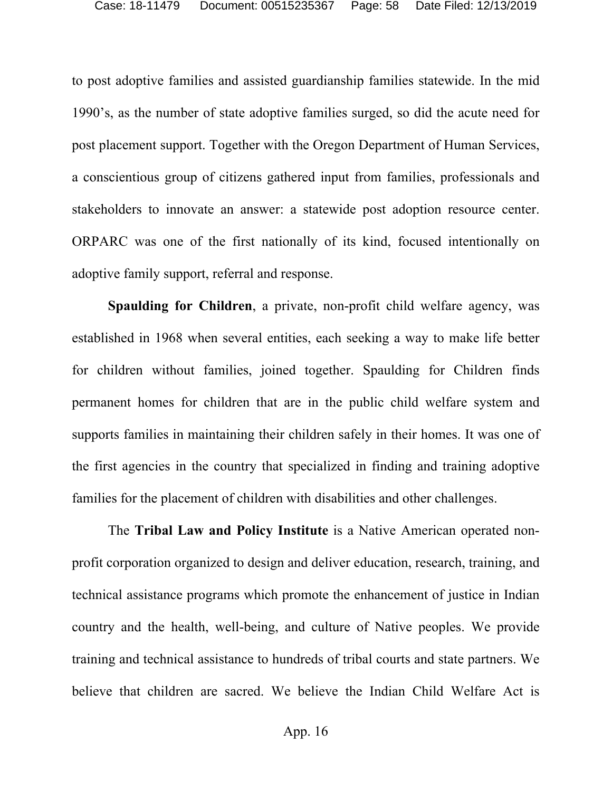to post adoptive families and assisted guardianship families statewide. In the mid 1990's, as the number of state adoptive families surged, so did the acute need for post placement support. Together with the Oregon Department of Human Services, a conscientious group of citizens gathered input from families, professionals and stakeholders to innovate an answer: a statewide post adoption resource center. ORPARC was one of the first nationally of its kind, focused intentionally on adoptive family support, referral and response.

**Spaulding for Children**, a private, non-profit child welfare agency, was established in 1968 when several entities, each seeking a way to make life better for children without families, joined together. Spaulding for Children finds permanent homes for children that are in the public child welfare system and supports families in maintaining their children safely in their homes. It was one of the first agencies in the country that specialized in finding and training adoptive families for the placement of children with disabilities and other challenges.

The **Tribal Law and Policy Institute** is a Native American operated nonprofit corporation organized to design and deliver education, research, training, and technical assistance programs which promote the enhancement of justice in Indian country and the health, well-being, and culture of Native peoples. We provide training and technical assistance to hundreds of tribal courts and state partners. We believe that children are sacred. We believe the Indian Child Welfare Act is